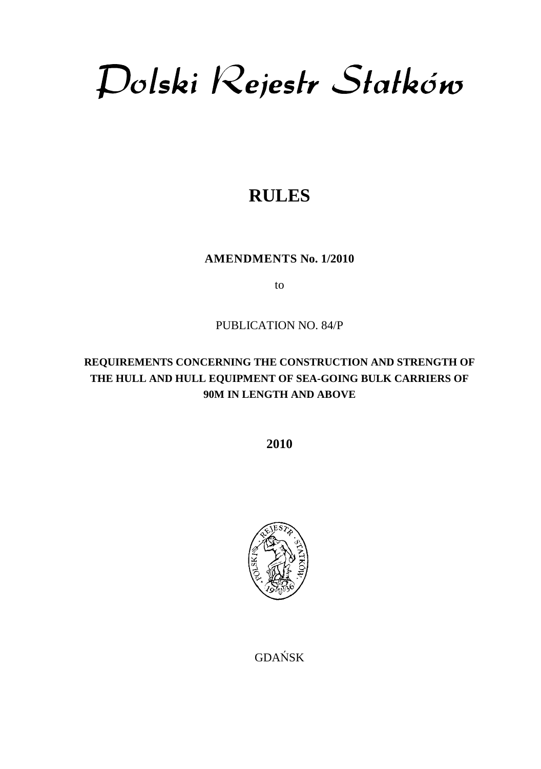Dolski Rejestr Statków

# **RULES**

**AMENDMENTS No. 1/2010** 

to

# PUBLICATION NO. 84/P

# **REQUIREMENTS CONCERNING THE CONSTRUCTION AND STRENGTH OF THE HULL AND HULL EQUIPMENT OF SEA-GOING BULK CARRIERS OF 90M IN LENGTH AND ABOVE**

**2010** 



GDAŃSK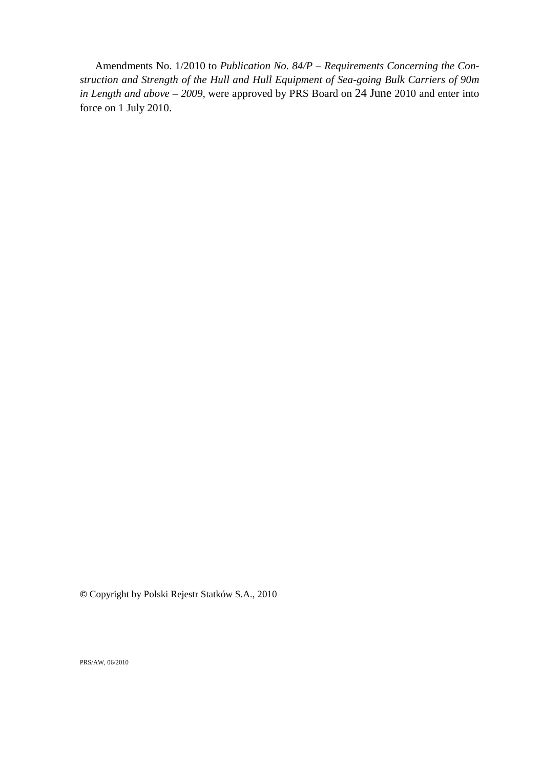Amendments No. 1/2010 to *Publication No. 84/P – Requirements Concerning the Construction and Strength of the Hull and Hull Equipment of Sea-going Bulk Carriers of 90m in Length and above – 2009,* were approved by PRS Board on 24 June 2010 and enter into force on 1 July 2010.

**©** Copyright by Polski Rejestr Statków S.A., 2010

PRS/AW, 06/2010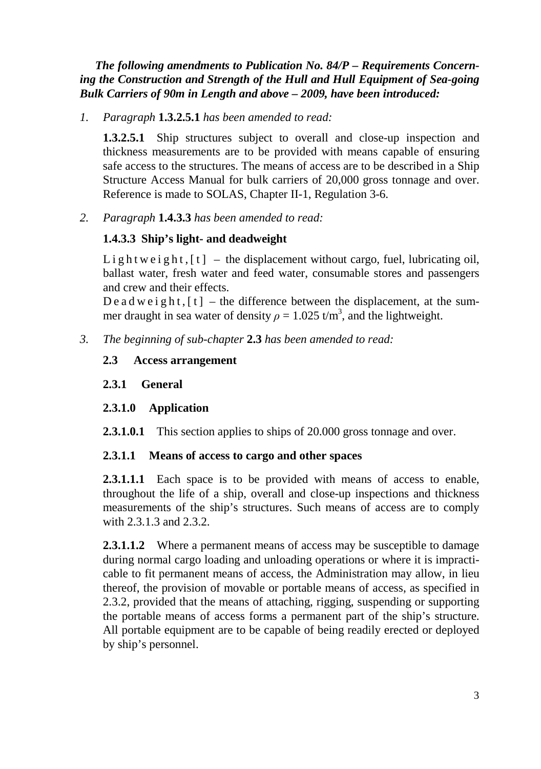# *The following amendments to Publication No. 84/P – Requirements Concerning the Construction and Strength of the Hull and Hull Equipment of Sea-going Bulk Carriers of 90m in Length and above – 2009, have been introduced:*

*1. Paragraph* **1.3.2.5.1** *has been amended to read:* 

**1.3.2.5.1** Ship structures subject to overall and close-up inspection and thickness measurements are to be provided with means capable of ensuring safe access to the structures. The means of access are to be described in a Ship Structure Access Manual for bulk carriers of 20,000 gross tonnage and over. Reference is made to SOLAS, Chapter II-1, Regulation 3-6.

*2. Paragraph* **1.4.3.3** *has been amended to read:* 

# **1.4.3.3 Ship's light- and deadweight**

Lightweight,  $[t]$  – the displacement without cargo, fuel, lubricating oil, ballast water, fresh water and feed water, consumable stores and passengers and crew and their effects.

D e a d w e i g h t,  $[t]$  – the difference between the displacement, at the summer draught in sea water of density  $\rho = 1.025 \text{ t/m}^3$ , and the lightweight.

*3. The beginning of sub-chapter* **2.3** *has been amended to read:* 

# **2.3 Access arrangement**

# **2.3.1 General**

# **2.3.1.0 Application**

**2.3.1.0.1** This section applies to ships of 20.000 gross tonnage and over.

# **2.3.1.1 Means of access to cargo and other spaces**

**2.3.1.1.1** Each space is to be provided with means of access to enable, throughout the life of a ship, overall and close-up inspections and thickness measurements of the ship's structures. Such means of access are to comply with 2.3.1.3 and 2.3.2.

**2.3.1.1.2** Where a permanent means of access may be susceptible to damage during normal cargo loading and unloading operations or where it is impracticable to fit permanent means of access, the Administration may allow, in lieu thereof, the provision of movable or portable means of access, as specified in 2.3.2, provided that the means of attaching, rigging, suspending or supporting the portable means of access forms a permanent part of the ship's structure. All portable equipment are to be capable of being readily erected or deployed by ship's personnel.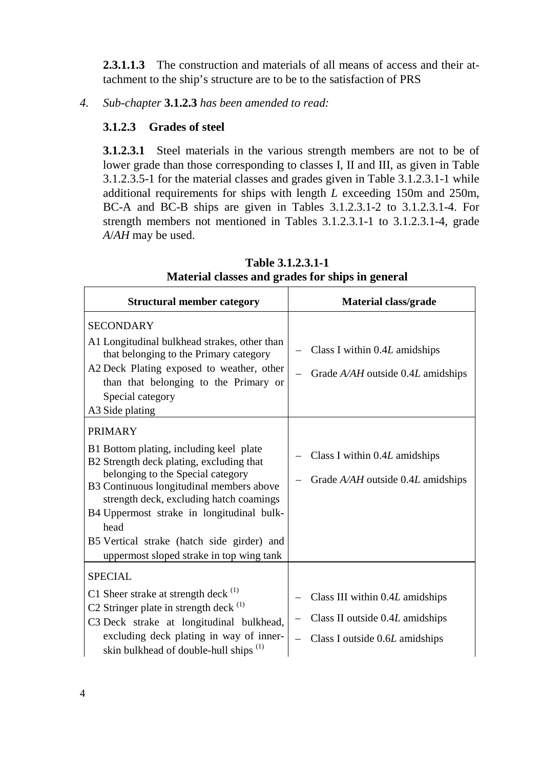**2.3.1.1.3** The construction and materials of all means of access and their attachment to the ship's structure are to be to the satisfaction of PRS

*4. Sub-chapter* **3.1.2.3** *has been amended to read:* 

# **3.1.2.3 Grades of steel**

**3.1.2.3.1** Steel materials in the various strength members are not to be of lower grade than those corresponding to classes I, II and III, as given in Table 3.1.2.3.5-1 for the material classes and grades given in Table 3.1.2.3.1-1 while additional requirements for ships with length *L* exceeding 150m and 250m, BC-A and BC-B ships are given in Tables 3.1.2.3.1-2 to 3.1.2.3.1-4. For strength members not mentioned in Tables 3.1.2.3.1-1 to 3.1.2.3.1-4, grade *A*/*AH* may be used.

| <b>Structural member category</b>                                                                                                                                                                                                                                                                                                                                                | Material class/grade                                                                                 |
|----------------------------------------------------------------------------------------------------------------------------------------------------------------------------------------------------------------------------------------------------------------------------------------------------------------------------------------------------------------------------------|------------------------------------------------------------------------------------------------------|
| <b>SECONDARY</b><br>Al Longitudinal bulkhead strakes, other than<br>that belonging to the Primary category<br>A2 Deck Plating exposed to weather, other<br>than that belonging to the Primary or<br>Special category<br>A3 Side plating                                                                                                                                          | Class I within 0.4L amidships<br>Grade $A/AH$ outside 0.4L amidships                                 |
| <b>PRIMARY</b><br>B1 Bottom plating, including keel plate<br>B2 Strength deck plating, excluding that<br>belonging to the Special category<br>B3 Continuous longitudinal members above<br>strength deck, excluding hatch coamings<br>B4 Uppermost strake in longitudinal bulk-<br>head<br>B5 Vertical strake (hatch side girder) and<br>uppermost sloped strake in top wing tank | Class I within 0.4L amidships<br>Grade $A/AH$ outside 0.4L amidships                                 |
| <b>SPECIAL</b><br>C1 Sheer strake at strength deck $(1)$<br>C2 Stringer plate in strength deck (1)<br>C3 Deck strake at longitudinal bulkhead,<br>excluding deck plating in way of inner-<br>skin bulkhead of double-hull ships <sup>(1)</sup>                                                                                                                                   | Class III within 0.4L amidships<br>Class II outside 0.4L amidships<br>Class I outside 0.6L amidships |

**Table 3.1.2.3.1-1 Material classes and grades for ships in general**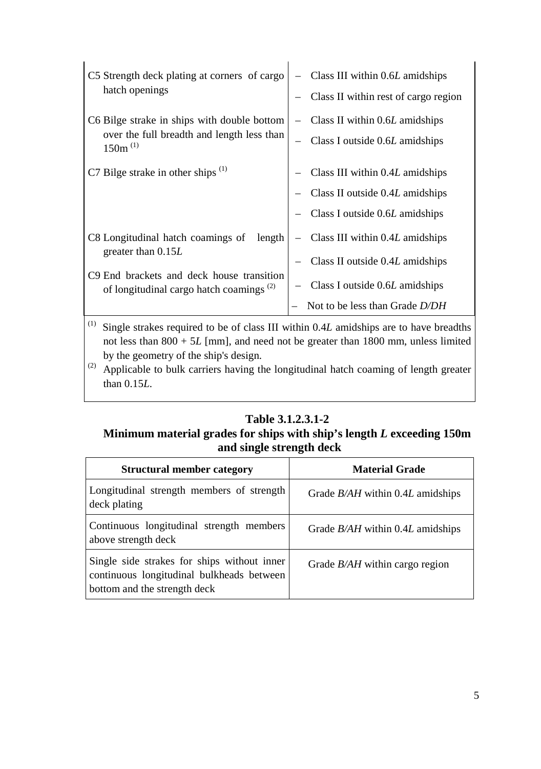| C5 Strength deck plating at corners of cargo<br>hatch openings                                                                                                                | $-$ Class III within 0.6L amidships<br>Class II within rest of cargo region                                      |
|-------------------------------------------------------------------------------------------------------------------------------------------------------------------------------|------------------------------------------------------------------------------------------------------------------|
| C6 Bilge strake in ships with double bottom<br>over the full breadth and length less than<br>$150m^{(1)}$                                                                     | $-$ Class II within 0.6L amidships<br>Class I outside 0.6L amidships                                             |
| C7 Bilge strake in other ships $(1)$                                                                                                                                          | Class III within 0.4L amidships<br>Class II outside 0.4L amidships<br>Class I outside 0.6L amidships             |
| C8 Longitudinal hatch coamings of<br>length<br>greater than $0.15L$<br>C <sub>9</sub> End brackets and deck house transition<br>of longitudinal cargo hatch coamings $^{(2)}$ | $-$ Class III within 0.4 <i>L</i> amidships<br>Class II outside 0.4L amidships<br>Class I outside 0.6L amidships |
|                                                                                                                                                                               | Not to be less than Grade $D/DH$                                                                                 |

<sup>(1)</sup> Single strakes required to be of class III within 0.4*L* amidships are to have breadths not less than 800 + 5*L* [mm], and need not be greater than 1800 mm, unless limited by the geometry of the ship's design.

(2) Applicable to bulk carriers having the longitudinal hatch coaming of length greater than 0.15*L*.

# **Table 3.1.2.3.1-2**

# **Minimum material grades for ships with ship's length** *L* **exceeding 150m and single strength deck**

| <b>Structural member category</b>                                                                                        | <b>Material Grade</b>              |
|--------------------------------------------------------------------------------------------------------------------------|------------------------------------|
| Longitudinal strength members of strength<br>deck plating                                                                | Grade $B/AH$ within 0.4L amidships |
| Continuous longitudinal strength members<br>above strength deck                                                          | Grade $B/AH$ within 0.4L amidships |
| Single side strakes for ships without inner<br>continuous longitudinal bulkheads between<br>bottom and the strength deck | Grade $B/AH$ within cargo region   |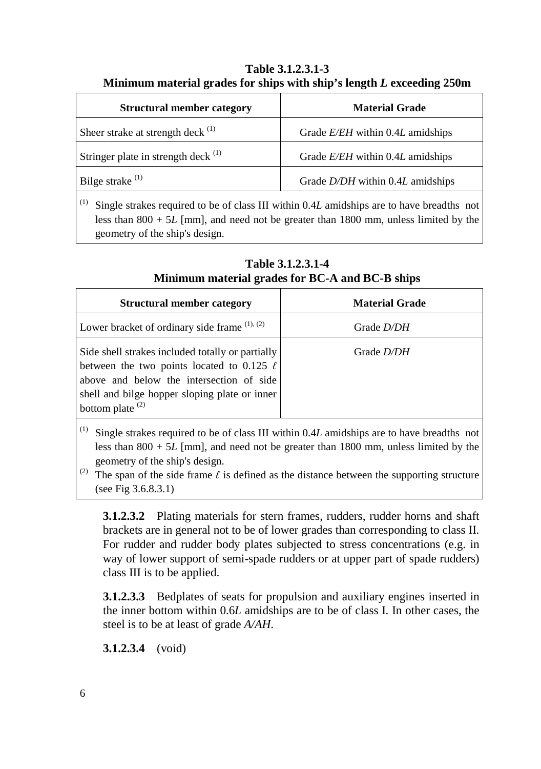**Table 3.1.2.3.1-3 Minimum material grades for ships with ship's length** *L* **exceeding 250m** 

| <b>Material Grade</b>              |
|------------------------------------|
| Grade $E/EH$ within 0.4L amidships |
| Grade E/EH within 0.4L amidships   |
| Grade $D/DH$ within 0.4L amidships |
|                                    |

(1) Single strakes required to be of class III within 0.4*L* amidships are to have breadths not less than 800 + 5*L* [mm], and need not be greater than 1800 mm, unless limited by the geometry of the ship's design.

| <b>Structural member category</b>                                                                                                                                                                                     | <b>Material Grade</b> |
|-----------------------------------------------------------------------------------------------------------------------------------------------------------------------------------------------------------------------|-----------------------|
| Lower bracket of ordinary side frame $(1), (2)$                                                                                                                                                                       | Grade <i>D/DH</i>     |
| Side shell strakes included totally or partially<br>between the two points located to 0.125 $\ell$<br>above and below the intersection of side<br>shell and bilge hopper sloping plate or inner<br>bottom plate $(2)$ | Grade <i>D/DH</i>     |

**Table 3.1.2.3.1-4 Minimum material grades for BC-A and BC-B ships** 

(1) Single strakes required to be of class III within 0.4*L* amidships are to have breadths not less than 800 + 5*L* [mm], and need not be greater than 1800 mm, unless limited by the geometry of the ship's design.

(2) The span of the side frame  $\ell$  is defined as the distance between the supporting structure (see Fig 3.6.8.3.1)

**3.1.2.3.2** Plating materials for stern frames, rudders, rudder horns and shaft brackets are in general not to be of lower grades than corresponding to class II. For rudder and rudder body plates subjected to stress concentrations (e.g. in way of lower support of semi-spade rudders or at upper part of spade rudders) class III is to be applied.

**3.1.2.3.3** Bedplates of seats for propulsion and auxiliary engines inserted in the inner bottom within 0.6*L* amidships are to be of class I. In other cases, the steel is to be at least of grade *A/AH*.

**3.1.2.3.4** (void)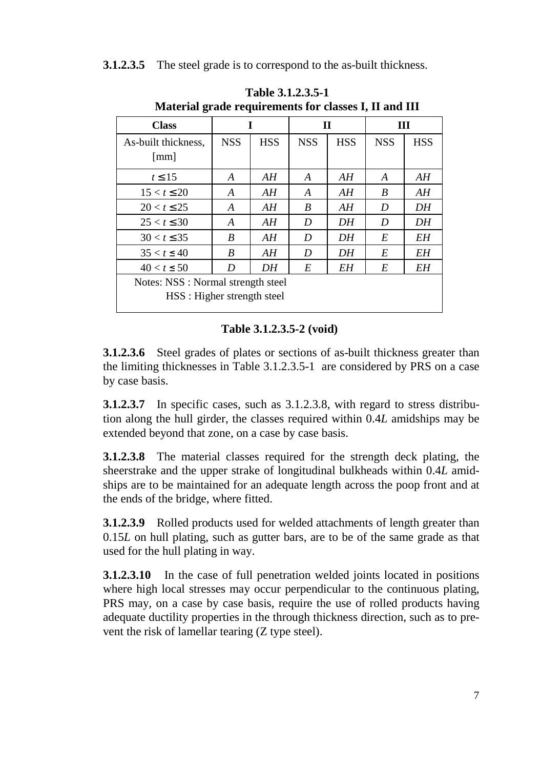# **3.1.2.3.5** The steel grade is to correspond to the as-built thickness.

| <b>Class</b>                                                      |            | I          |            | $\mathbf H$ |            | Ш          |  |  |  |  |  |  |
|-------------------------------------------------------------------|------------|------------|------------|-------------|------------|------------|--|--|--|--|--|--|
| As-built thickness,<br>$\lceil$ mm $\rceil$                       | <b>NSS</b> | <b>HSS</b> | <b>NSS</b> | <b>HSS</b>  | <b>NSS</b> | <b>HSS</b> |  |  |  |  |  |  |
| $t \leq 15$                                                       | A          | AH         | A          | ΑH          | A          | ΑH         |  |  |  |  |  |  |
| $15 < t \leq 20$                                                  | A          | AH         | A          | AH          | B          | AH         |  |  |  |  |  |  |
| $20 < t \le 25$                                                   | A          | ΑH         | B          | ΑH          | D          | DH         |  |  |  |  |  |  |
| $25 < t \leq 30$                                                  | A          | ΑH         | D          | DH          | D          | DH         |  |  |  |  |  |  |
| $30 < t \leq 35$                                                  | B          | AH         | D          | DH          | E          | EΗ         |  |  |  |  |  |  |
| $35 < t \leq 40$                                                  | B          | AH         | D          | DH          | E          | <b>EH</b>  |  |  |  |  |  |  |
| $40 < t \leq 50$                                                  | D          | DH         | E          | EΗ          | E          | EΗ         |  |  |  |  |  |  |
| Notes: NSS : Normal strength steel<br>HSS : Higher strength steel |            |            |            |             |            |            |  |  |  |  |  |  |

**Table 3.1.2.3.5-1 Material grade requirements for classes I, II and III**

### **Table 3.1.2.3.5-2 (void)**

**3.1.2.3.6** Steel grades of plates or sections of as-built thickness greater than the limiting thicknesses in Table 3.1.2.3.5-1 are considered by PRS on a case by case basis.

**3.1.2.3.7** In specific cases, such as 3.1.2.3.8, with regard to stress distribution along the hull girder, the classes required within 0.4*L* amidships may be extended beyond that zone, on a case by case basis.

**3.1.2.3.8** The material classes required for the strength deck plating, the sheerstrake and the upper strake of longitudinal bulkheads within 0.4*L* amidships are to be maintained for an adequate length across the poop front and at the ends of the bridge, where fitted.

**3.1.2.3.9** Rolled products used for welded attachments of length greater than 0.15*L* on hull plating, such as gutter bars, are to be of the same grade as that used for the hull plating in way.

**3.1.2.3.10** In the case of full penetration welded joints located in positions where high local stresses may occur perpendicular to the continuous plating, PRS may, on a case by case basis, require the use of rolled products having adequate ductility properties in the through thickness direction, such as to prevent the risk of lamellar tearing (Z type steel).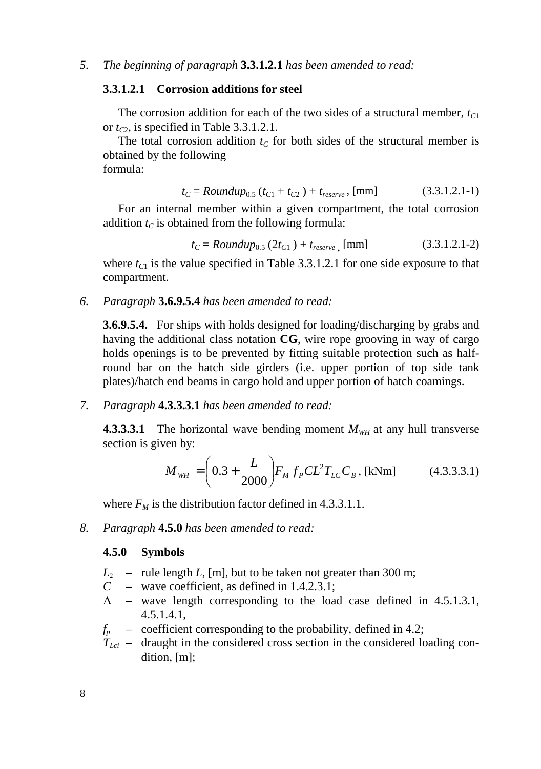#### **3.3.1.2.1 Corrosion additions for steel**

The corrosion addition for each of the two sides of a structural member, *tC*<sup>1</sup> or  $t_{C2}$ , is specified in Table 3.3.1.2.1.

The total corrosion addition  $t_C$  for both sides of the structural member is obtained by the following formula:

$$
t_C = \text{Roundup}_{0.5} \left( t_{C1} + t_{C2} \right) + t_{\text{reserve}}, \text{[mm]} \tag{3.3.1.2.1-1}
$$

For an internal member within a given compartment, the total corrosion addition  $t_c$  is obtained from the following formula:

$$
t_C = \text{Roundup}_{0.5} \left( 2t_{C1} \right) + t_{\text{reserve}} \text{ [mm]} \tag{3.3.1.2.1-2}
$$

where  $t_{C1}$  is the value specified in Table 3.3.1.2.1 for one side exposure to that compartment.

*6. Paragraph* **3.6.9.5.4** *has been amended to read:* 

**3.6.9.5.4.** For ships with holds designed for loading/discharging by grabs and having the additional class notation **CG**, wire rope grooving in way of cargo holds openings is to be prevented by fitting suitable protection such as halfround bar on the hatch side girders (i.e. upper portion of top side tank plates)/hatch end beams in cargo hold and upper portion of hatch coamings.

*7. Paragraph* **4.3.3.3.1** *has been amended to read:* 

**4.3.3.3.1** The horizontal wave bending moment  $M_{WH}$  at any hull transverse section is given by:

$$
M_{WH} = \left(0.3 + \frac{L}{2000}\right) F_M f_P C L^2 T_{LC} C_B, \text{ [kNm]} \tag{4.3.3.3.1}
$$

where  $F_M$  is the distribution factor defined in 4.3.3.1.1.

*8. Paragraph* **4.5.0** *has been amended to read:* 

#### **4.5.0 Symbols**

- $L_2$  rule length *L*, [m], but to be taken not greater than 300 m;
- *C*  wave coefficient, as defined in 1.4.2.3.1;
- $\Lambda$  wave length corresponding to the load case defined in 4.5.1.3.1, 4.5.1.4.1,
- $f<sub>p</sub>$  coefficient corresponding to the probability, defined in 4.2;
- $T_{Lci}$  draught in the considered cross section in the considered loading condition, [m];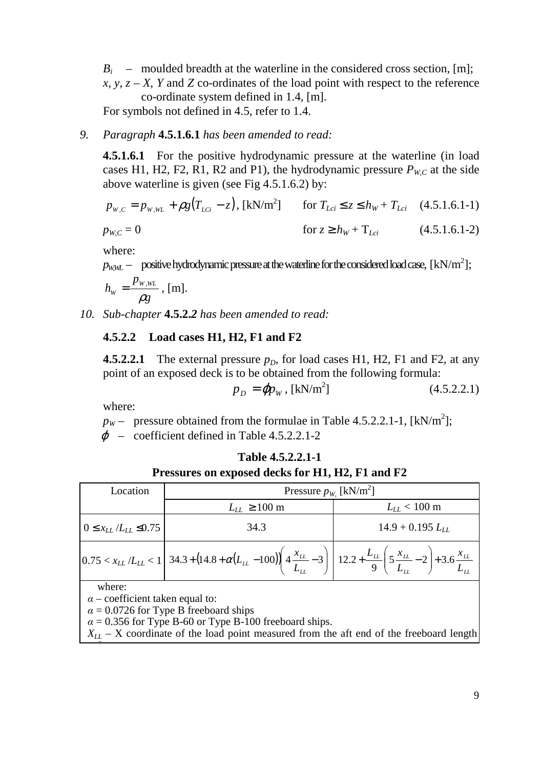$B_i$  – moulded breadth at the waterline in the considered cross section, [m]; *x, y, z – X, Y* and *Z* co-ordinates of the load point with respect to the reference co-ordinate system defined in 1.4, [m].

For symbols not defined in 4.5, refer to 1.4.

### *9. Paragraph* **4.5.1.6.1** *has been amended to read:*

**4.5.1.6.1** For the positive hydrodynamic pressure at the waterline (in load cases H1, H2, F2, R1, R2 and P1), the hydrodynamic pressure  $P_{W,C}$  at the side above waterline is given (see Fig 4.5.1.6.2) by:

$$
p_{w,c} = p_{w, wL} + \rho g (T_{Lci} - z), \text{ [kN/m}^2 \text{]} \quad \text{for } T_{Lci} \le z \le h_W + T_{Lci} \quad (4.5.1.6.1-1)
$$
\n
$$
p_{w,c} = 0 \quad \text{for } z \ge h_W + T_{Lci} \quad (4.5.1.6.1-2)
$$

where:

 $p_{\text{W},\text{W}}$  – positive hydrodynamic pressure at the waterline for the considered load case,  $\text{[kN/m}^2\text{]}$ ;

$$
h_{\scriptscriptstyle W}=\frac{p_{\scriptscriptstyle W, \scriptscriptstyle WL}}{\rho g}\,,\,[\mathrm{m}].
$$

*10. Sub-chapter* **4.5.2.***2 has been amended to read:* 

# **4.5.2.2 Load cases H1, H2, F1 and F2**

**4.5.2.2.1** The external pressure  $p<sub>D</sub>$ , for load cases H1, H2, F1 and F2, at any point of an exposed deck is to be obtained from the following formula:

$$
p_D = \mathbf{q} p_W, \text{ [kN/m}^2 \text{]} \tag{4.5.2.2.1}
$$

where:

 $p_W$  – pressure obtained from the formulae in Table 4.5.2.2.1-1, [kN/m<sup>2</sup>];

 $\varphi$  – coefficient defined in Table 4.5.2.2.1-2

|                                | Pressures on exposed decks for H1, H2, F1 and F2                                                                                                                                                                                                        |                       |
|--------------------------------|---------------------------------------------------------------------------------------------------------------------------------------------------------------------------------------------------------------------------------------------------------|-----------------------|
| Location                       | Pressure $p_{W}$ [kN/m <sup>2</sup> ]                                                                                                                                                                                                                   |                       |
|                                | $L_{LL} \ge 100 \text{ m}$                                                                                                                                                                                                                              | $L_{LL}$ < 100 m      |
| $0 \le x_{LL}/L_{LL} \le 0.75$ | 34.3                                                                                                                                                                                                                                                    | $14.9 + 0.195 L_{LL}$ |
|                                | $\left 0.75 < x_{LL}/L_{LL} < 1\right  \nonumber\\ 34.3 + \left(14.8 + \alpha (L_{LL} - 100)\right) \left(4 \frac{x_{LL}}{L_{LL}} - 3\right) \left 12.2 + \frac{L_{LL}}{9} \left(5 \frac{x_{LL}}{L_{LL}} - 2\right) + 3.6 \frac{x_{LL}}{L_{LL}}\right $ |                       |
| .                              |                                                                                                                                                                                                                                                         |                       |

| Table 4.5.2.2.1-1                        |  |
|------------------------------------------|--|
| $\ldots$ arm agad. Jacks for H1 H1 H0 E1 |  |

| vner<br>$\ddot{\phantom{1}}$ |  |
|------------------------------|--|

*L* .

α *–* coefficient taken equal to:

 $\alpha$  = 0.0726 for Type B freeboard ships

 $\alpha$  = 0.356 for Type B-60 or Type B-100 freeboard ships.

 $X_{LL}$  – X coordinate of the load point measured from the aft end of the freeboard length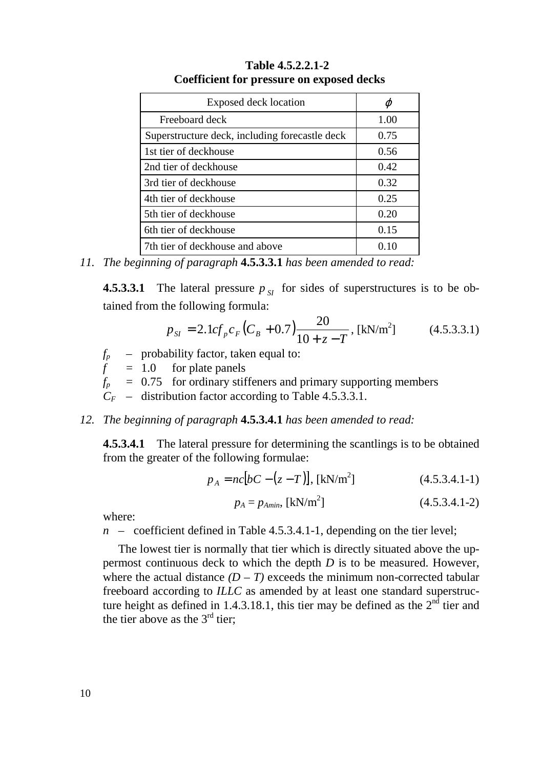| Exposed deck location                          | φ    |
|------------------------------------------------|------|
| Freeboard deck                                 | 1.00 |
| Superstructure deck, including forecastle deck | 0.75 |
| 1st tier of deckhouse                          | 0.56 |
| 2nd tier of deckhouse                          | 0.42 |
| 3rd tier of deckhouse                          | 0.32 |
| 4th tier of deckhouse                          | 0.25 |
| 5th tier of deckhouse                          | 0.20 |
| 6th tier of deckhouse                          | 0.15 |
| 7th tier of deckhouse and above                |      |

**Table 4.5.2.2.1-2 Coefficient for pressure on exposed decks** 

*11. The beginning of paragraph* **4.5.3.3.1** *has been amended to read:* 

**4.5.3.3.1** The lateral pressure  $p_{\text{S}}$  for sides of superstructures is to be obtained from the following formula:

$$
p_{\rm SI} = 2.1 c f_p c_F (C_B + 0.7) \frac{20}{10 + z - T}, \text{ [kN/m}^2 \text{]} \tag{4.5.3.3.1}
$$

*fp –* probability factor, taken equal to:

 $f = 1.0$  for plate panels

 $f_p$  = 0.75 for ordinary stiffeners and primary supporting members

 $C_F$  – distribution factor according to Table 4.5.3.3.1.

*12. The beginning of paragraph* **4.5.3.4.1** *has been amended to read:* 

**4.5.3.4.1** The lateral pressure for determining the scantlings is to be obtained from the greater of the following formulae:

$$
p_A = nc[bC - (z - T)], \text{ [kN/m}^2 \text{]}
$$
 (4.5.3.4.1-1)

$$
p_A = p_{Amin}, \text{ [kN/m}^2\text{]} \tag{4.5.3.4.1-2}
$$

where:

*n* – coefficient defined in Table 4.5.3.4.1-1, depending on the tier level;

The lowest tier is normally that tier which is directly situated above the uppermost continuous deck to which the depth *D* is to be measured. However, where the actual distance  $(D - T)$  exceeds the minimum non-corrected tabular freeboard according to *ILLC* as amended by at least one standard superstructure height as defined in 1.4.3.18.1, this tier may be defined as the  $2<sup>n\bar{d}</sup>$  tier and the tier above as the  $3<sup>rd</sup>$  tier;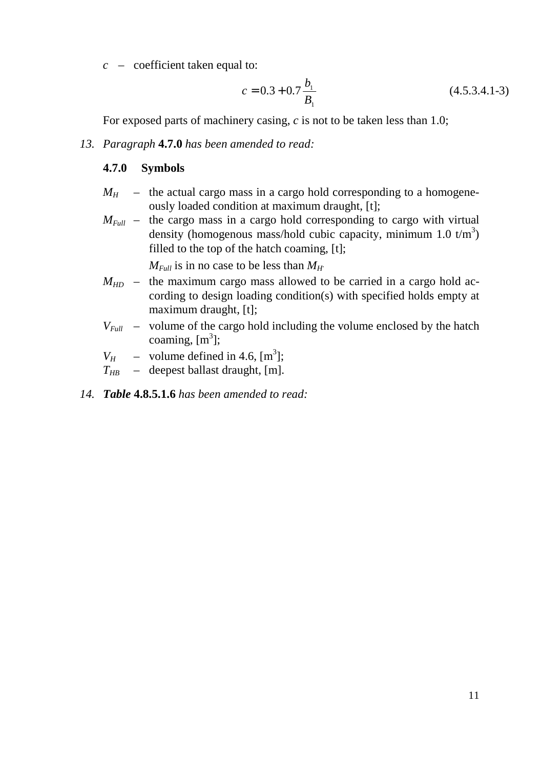*c* – coefficient taken equal to:

$$
c = 0.3 + 0.7 \frac{b_1}{B_1}
$$
 (4.5.3.4.1-3)

For exposed parts of machinery casing, *c* is not to be taken less than 1.0;

#### *13. Paragraph* **4.7.0** *has been amended to read:*

#### **4.7.0 Symbols**

- $M_H$  the actual cargo mass in a cargo hold corresponding to a homogeneously loaded condition at maximum draught, [t];
- $M_{Full}$  the cargo mass in a cargo hold corresponding to cargo with virtual density (homogenous mass/hold cubic capacity, minimum 1.0  $t/m<sup>3</sup>$ ) filled to the top of the hatch coaming, [t];

 $M_{Full}$  is in no case to be less than  $M_H$ 

- $M_{HD}$  the maximum cargo mass allowed to be carried in a cargo hold according to design loading condition(s) with specified holds empty at maximum draught, [t];
- $V_{Full}$  volume of the cargo hold including the volume enclosed by the hatch coaming,  $[m<sup>3</sup>]$ ;
- $V_H$  volume defined in 4.6, [m<sup>3</sup>];
- $T_{HR}$  deepest ballast draught, [m].
- *14. Table* **4.8.5.1.6** *has been amended to read:*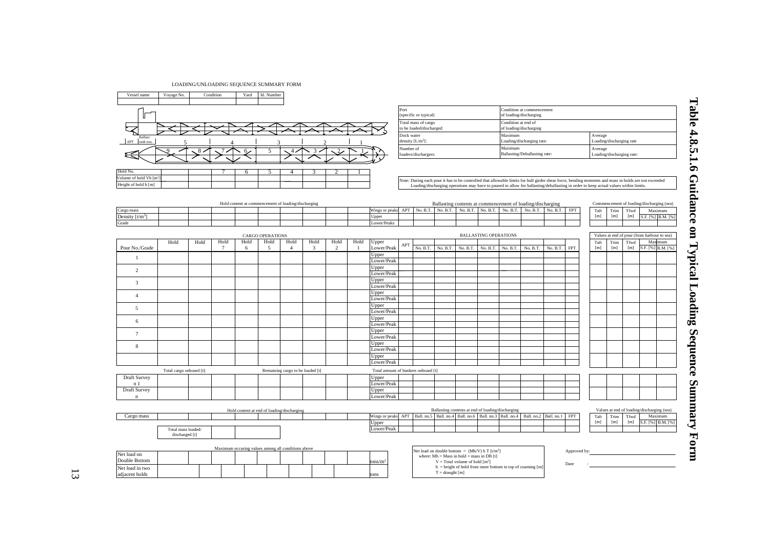| LOADING/UNLOADING SEQUENCE SUMMARY FORM |
|-----------------------------------------|
|-----------------------------------------|

Vessel name | Voyage No. | Condition | Yard | Id. Number





Date



|                                                           |                                      |      |        |      |                                 |                                                     |              |      |                |                                                                                              | Port       | (specific or typical)                           |                                                                                                                                     |          |                              |                     | Condition at commencement<br>of loading/discharging                                                                                                                                                                                                                                          |                       |                      |             |                                      |                          |                                             |                     |
|-----------------------------------------------------------|--------------------------------------|------|--------|------|---------------------------------|-----------------------------------------------------|--------------|------|----------------|----------------------------------------------------------------------------------------------|------------|-------------------------------------------------|-------------------------------------------------------------------------------------------------------------------------------------|----------|------------------------------|---------------------|----------------------------------------------------------------------------------------------------------------------------------------------------------------------------------------------------------------------------------------------------------------------------------------------|-----------------------|----------------------|-------------|--------------------------------------|--------------------------|---------------------------------------------|---------------------|
|                                                           |                                      |      |        |      |                                 |                                                     |              |      |                |                                                                                              |            | Total mass of cargo<br>to be loaded/discharged: |                                                                                                                                     |          |                              | Condition at end of | of loading/discharging                                                                                                                                                                                                                                                                       |                       |                      |             |                                      |                          |                                             |                     |
| Ballast<br>APT<br>tank nos.                               |                                      |      |        |      |                                 |                                                     |              |      |                |                                                                                              | Dock water | density $[L/m^3]$ :                             |                                                                                                                                     |          |                              | Maximum             | Loading/discharging rate:                                                                                                                                                                                                                                                                    |                       |                      | Average     |                                      | Loading/discharging rate |                                             |                     |
|                                                           |                                      |      |        |      |                                 |                                                     |              |      |                |                                                                                              | Number of  | loaders/dischargers:                            |                                                                                                                                     |          |                              | Maximum             | Ballasting/Deballasting rate:                                                                                                                                                                                                                                                                |                       |                      |             | Average<br>Loading/discharging rate: |                          |                                             |                     |
| Hold No.                                                  |                                      |      |        | 6    |                                 | 4                                                   |              |      |                |                                                                                              |            |                                                 |                                                                                                                                     |          |                              |                     |                                                                                                                                                                                                                                                                                              |                       |                      |             |                                      |                          |                                             |                     |
| Volume of hold Vh [m <sup>2</sup><br>Height of hold h [m] |                                      |      |        |      |                                 |                                                     |              |      |                |                                                                                              |            |                                                 |                                                                                                                                     |          |                              |                     | Note: During each pour it has to be controlled that allowable limits for hull girder shear force, bending moments and mass in holds are not exceeded<br>Loading/discharging operations may have to paused to allow for ballasting/deballasting in order to keep actual values within limits. |                       |                      |             |                                      |                          |                                             |                     |
|                                                           |                                      |      |        |      |                                 |                                                     |              |      |                |                                                                                              |            |                                                 |                                                                                                                                     |          |                              |                     |                                                                                                                                                                                                                                                                                              |                       |                      |             |                                      |                          |                                             |                     |
| Cargo mass                                                |                                      |      |        |      |                                 | Hold content at commencement of loading/discharging |              |      |                | Wings or peaks APT                                                                           |            |                                                 | No. B.T. No. B.T. No. B.T. No. B.T.                                                                                                 |          |                              | No. B.T.            | Ballasting contents at commencement of loading/discharging                                                                                                                                                                                                                                   | No. B.T. No. B.T. FPT |                      | Taft        | Trim                                 | Tfwd                     | Commencement of loading/discharging (sea)   | Maximum             |
| Density $\lceil t/m^3 \rceil$<br>Grade                    |                                      |      |        |      |                                 |                                                     |              |      |                | Upper<br>Lower/Peaks                                                                         |            |                                                 |                                                                                                                                     |          |                              |                     |                                                                                                                                                                                                                                                                                              |                       |                      | [m]         | [m]                                  | [m]                      |                                             | S.F. [%] B.M. [%]   |
|                                                           |                                      |      |        |      |                                 |                                                     |              |      |                |                                                                                              |            |                                                 |                                                                                                                                     |          |                              |                     |                                                                                                                                                                                                                                                                                              |                       |                      |             |                                      |                          |                                             |                     |
|                                                           | Hold                                 | Hold | Hold   | Hold | <b>CARGO OPERATIONS</b><br>Hold | Hold                                                | Hold         | Hold | Hold           | Upper                                                                                        |            |                                                 |                                                                                                                                     |          | <b>BALLASTING OPERATIONS</b> |                     |                                                                                                                                                                                                                                                                                              |                       |                      | Taft        | Trim                                 | Tfwd                     | Values at end of pour (from harbour to sea) | Maximum             |
| Pour No./Grade                                            |                                      |      | $\tau$ | 6    | 5                               | $\overline{4}$                                      | $\mathbf{3}$ | 2    | $\overline{1}$ | Lower/Peak                                                                                   | APT        | No. B.T.                                        | No. B.T.                                                                                                                            | No. B.T. | No. B.T.                     | No. B.T.            | No. B.T.                                                                                                                                                                                                                                                                                     | No. B.T.              | <b>FPT</b>           | [m]         | [m]                                  | [m]                      |                                             | S.F. [%] B.M. [%]   |
| $\overline{1}$                                            |                                      |      |        |      |                                 |                                                     |              |      |                | Upper<br>Lower/Peak                                                                          |            |                                                 |                                                                                                                                     |          |                              |                     |                                                                                                                                                                                                                                                                                              |                       |                      |             |                                      |                          |                                             |                     |
| $\overline{2}$                                            |                                      |      |        |      |                                 |                                                     |              |      |                | Upper                                                                                        |            |                                                 |                                                                                                                                     |          |                              |                     |                                                                                                                                                                                                                                                                                              |                       |                      |             |                                      |                          |                                             |                     |
|                                                           |                                      |      |        |      |                                 |                                                     |              |      |                | Lower/Peak<br>Upper                                                                          |            |                                                 |                                                                                                                                     |          |                              |                     |                                                                                                                                                                                                                                                                                              |                       |                      |             |                                      |                          |                                             |                     |
| $\overline{3}$                                            |                                      |      |        |      |                                 |                                                     |              |      |                | Lower/Peak                                                                                   |            |                                                 |                                                                                                                                     |          |                              |                     |                                                                                                                                                                                                                                                                                              |                       |                      |             |                                      |                          |                                             |                     |
| $\overline{4}$                                            |                                      |      |        |      |                                 |                                                     |              |      |                | Upper<br>Lower/Peak                                                                          |            |                                                 |                                                                                                                                     |          |                              |                     |                                                                                                                                                                                                                                                                                              |                       |                      |             |                                      |                          |                                             |                     |
| $\sim$                                                    |                                      |      |        |      |                                 |                                                     |              |      |                | Upper                                                                                        |            |                                                 |                                                                                                                                     |          |                              |                     |                                                                                                                                                                                                                                                                                              |                       |                      |             |                                      |                          |                                             |                     |
|                                                           |                                      |      |        |      |                                 |                                                     |              |      |                | Lower/Peak<br>Upper                                                                          |            |                                                 |                                                                                                                                     |          |                              |                     |                                                                                                                                                                                                                                                                                              |                       |                      |             |                                      |                          |                                             |                     |
| 6                                                         |                                      |      |        |      |                                 |                                                     |              |      |                | Lower/Peak                                                                                   |            |                                                 |                                                                                                                                     |          |                              |                     |                                                                                                                                                                                                                                                                                              |                       |                      |             |                                      |                          |                                             |                     |
| $\tau$                                                    |                                      |      |        |      |                                 |                                                     |              |      |                | Upper<br>Lower/Peak                                                                          |            |                                                 |                                                                                                                                     |          |                              |                     |                                                                                                                                                                                                                                                                                              |                       |                      |             |                                      |                          |                                             |                     |
| 8                                                         |                                      |      |        |      |                                 |                                                     |              |      |                | Upper                                                                                        |            |                                                 |                                                                                                                                     |          |                              |                     |                                                                                                                                                                                                                                                                                              |                       |                      |             |                                      |                          |                                             |                     |
|                                                           |                                      |      |        |      |                                 |                                                     |              |      |                | Lower/Peak                                                                                   |            |                                                 |                                                                                                                                     |          |                              |                     |                                                                                                                                                                                                                                                                                              |                       |                      |             |                                      |                          |                                             |                     |
|                                                           |                                      |      |        |      |                                 |                                                     |              |      |                | Upper<br>Lower/Peak                                                                          |            |                                                 |                                                                                                                                     |          |                              |                     |                                                                                                                                                                                                                                                                                              |                       |                      |             |                                      |                          |                                             |                     |
|                                                           | Total cargo onboard [t]:             |      |        |      |                                 | Remaining cargo to be loaded [t]                    |              |      |                | Total amount of bunkers onboard [t]                                                          |            |                                                 |                                                                                                                                     |          |                              |                     |                                                                                                                                                                                                                                                                                              |                       |                      |             |                                      |                          |                                             |                     |
| Draft Survey                                              |                                      |      |        |      |                                 |                                                     |              |      |                | Upper                                                                                        |            |                                                 |                                                                                                                                     |          |                              |                     |                                                                                                                                                                                                                                                                                              |                       |                      |             |                                      |                          |                                             |                     |
| n <sub>1</sub><br>Draft Survey                            |                                      |      |        |      |                                 |                                                     |              |      |                | Lower/Peak<br>Upper                                                                          |            |                                                 |                                                                                                                                     |          |                              |                     |                                                                                                                                                                                                                                                                                              |                       |                      |             |                                      |                          |                                             |                     |
| $\mathbf n$                                               |                                      |      |        |      |                                 |                                                     |              |      |                | Lower/Peak                                                                                   |            |                                                 |                                                                                                                                     |          |                              |                     |                                                                                                                                                                                                                                                                                              |                       |                      |             |                                      |                          |                                             |                     |
|                                                           |                                      |      |        |      |                                 | Hold content at end of loading/discharging          |              |      |                |                                                                                              |            |                                                 | Ballasting contents at end of loading/discharging                                                                                   |          |                              |                     |                                                                                                                                                                                                                                                                                              |                       |                      |             |                                      |                          | Values at end of loading/discharging (sea)  |                     |
| Cargo mass                                                |                                      |      |        |      |                                 |                                                     |              |      |                | Wings or peaks APT   Ball. no.5   Ball. no.4   Ball. no.6   Ball. no.3   Ball. no.4<br>Upper |            |                                                 |                                                                                                                                     |          |                              |                     | Ball. no.2 Ball. no.1                                                                                                                                                                                                                                                                        |                       | FPT                  | Taft<br>[m] | Trim<br>[m]                          | Tfwd<br>[m]              | S.F. [%]                                    | Maximum<br>B.M. [%] |
|                                                           | Total mass loaded/<br>discharged [t] |      |        |      |                                 |                                                     |              |      |                | Lower/Peak                                                                                   |            |                                                 |                                                                                                                                     |          |                              |                     |                                                                                                                                                                                                                                                                                              |                       |                      |             |                                      |                          |                                             |                     |
|                                                           |                                      |      |        |      |                                 | Maximum occuring values among all conditions above  |              |      |                |                                                                                              |            |                                                 |                                                                                                                                     |          |                              |                     |                                                                                                                                                                                                                                                                                              |                       |                      |             |                                      |                          |                                             |                     |
| Net load on<br>Double Bottom                              |                                      |      |        |      |                                 |                                                     |              |      |                | tons/m <sup>2</sup>                                                                          |            |                                                 | Net load on double bottom = $(Mh/V)$ h T $[t/m2]$<br>where: $Mh = Mass$ in hold + mass in DB [t]<br>$V = Total volume of hold [m2]$ |          |                              |                     |                                                                                                                                                                                                                                                                                              |                       | Approved by:<br>Data |             |                                      |                          |                                             |                     |

| ٠            |                                                                                                                                               |  |  |  |  |                                                       |  |  |  | Upper                                                                               |  |  |  |                           |  |      |      |      |                   |
|--------------|-----------------------------------------------------------------------------------------------------------------------------------------------|--|--|--|--|-------------------------------------------------------|--|--|--|-------------------------------------------------------------------------------------|--|--|--|---------------------------|--|------|------|------|-------------------|
|              |                                                                                                                                               |  |  |  |  |                                                       |  |  |  | Lower/Peak                                                                          |  |  |  |                           |  |      |      |      |                   |
| 8            |                                                                                                                                               |  |  |  |  |                                                       |  |  |  | Upper                                                                               |  |  |  |                           |  |      |      |      |                   |
|              |                                                                                                                                               |  |  |  |  |                                                       |  |  |  | Lower/Peak                                                                          |  |  |  |                           |  |      |      |      |                   |
|              |                                                                                                                                               |  |  |  |  |                                                       |  |  |  | Upper                                                                               |  |  |  |                           |  |      |      |      |                   |
|              |                                                                                                                                               |  |  |  |  |                                                       |  |  |  | Lower/Peak                                                                          |  |  |  |                           |  |      |      |      |                   |
|              | Total cargo onboard [t]:<br>Remaining cargo to be loaded [t]                                                                                  |  |  |  |  | Total amount of bunkers onboard [t]                   |  |  |  |                                                                                     |  |  |  |                           |  |      |      |      |                   |
| Draft Survey |                                                                                                                                               |  |  |  |  |                                                       |  |  |  | Upper                                                                               |  |  |  |                           |  |      |      |      |                   |
| n 1          |                                                                                                                                               |  |  |  |  |                                                       |  |  |  | Lower/Peak                                                                          |  |  |  |                           |  |      |      |      |                   |
| Draft Survey |                                                                                                                                               |  |  |  |  |                                                       |  |  |  | Upper                                                                               |  |  |  |                           |  |      |      |      |                   |
|              |                                                                                                                                               |  |  |  |  |                                                       |  |  |  | Lower/Peak                                                                          |  |  |  |                           |  |      |      |      |                   |
|              | Ballasting contents at end of loading/discharging<br>Values at end of loading/discharging (sea)<br>Hold content at end of loading/discharging |  |  |  |  |                                                       |  |  |  |                                                                                     |  |  |  |                           |  |      |      |      |                   |
| Cargo mass   |                                                                                                                                               |  |  |  |  |                                                       |  |  |  | Wings or peaks APT   Ball. no.5   Ball. no.4   Ball. no.6   Ball. no.3   Ball. no.4 |  |  |  | Ball. no.2 Ball. no.1 FPT |  | Taft | Trim | Tfwd | Maximum           |
|              |                                                                                                                                               |  |  |  |  |                                                       |  |  |  | Upper                                                                               |  |  |  |                           |  | [m]  | [m]  | [m]  | S.F. [%] B.M. [%] |
|              | Total mass loaded/                                                                                                                            |  |  |  |  |                                                       |  |  |  | Lower/Peak                                                                          |  |  |  |                           |  |      |      |      |                   |
|              | discharged [t]                                                                                                                                |  |  |  |  |                                                       |  |  |  |                                                                                     |  |  |  |                           |  |      |      |      |                   |
|              |                                                                                                                                               |  |  |  |  | Martinson acquires colorer anno 201 annibicano dispos |  |  |  |                                                                                     |  |  |  |                           |  |      |      |      |                   |

where:  $Mh = Mass$  in hold + mass in DB [t]  $V = \text{Total volume of hold } [m^2]$ h = height of hold from inner bottom to top of coaming [m]

 $T =$  draught  $[m]$ 

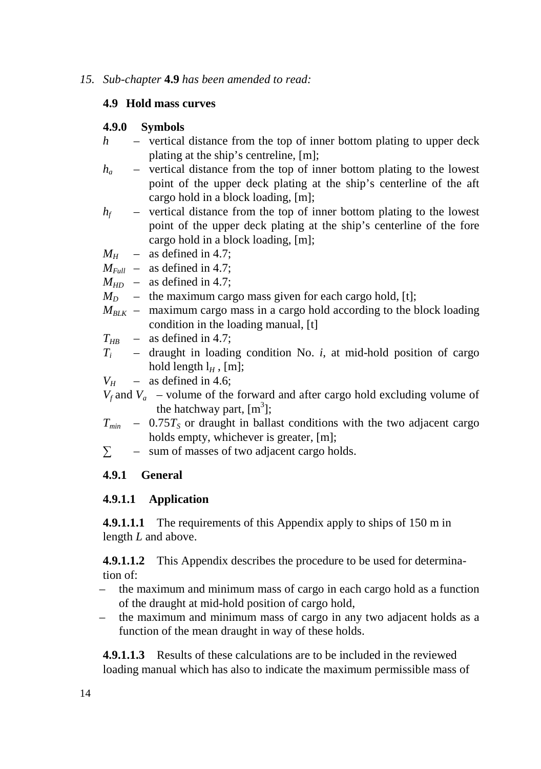### *15. Sub-chapter* **4.9** *has been amended to read:*

# **4.9 Hold mass curves**

# **4.9.0 Symbols**

- *h*  vertical distance from the top of inner bottom plating to upper deck plating at the ship's centreline, [m];
- $h_a$  vertical distance from the top of inner bottom plating to the lowest point of the upper deck plating at the ship's centerline of the aft cargo hold in a block loading, [m];
- $h_f$  vertical distance from the top of inner bottom plating to the lowest point of the upper deck plating at the ship's centerline of the fore cargo hold in a block loading, [m];
- $M<sub>H</sub>$  as defined in 4.7;
- $M_{Full}$  as defined in 4.7;
- $M_{HD}$  as defined in 4.7;
- $M_D$  the maximum cargo mass given for each cargo hold, [t];
- $M_{B L K}$  maximum cargo mass in a cargo hold according to the block loading condition in the loading manual, [t]

 $T_{HR}$  – as defined in 4.7;

*T<sup>i</sup>* – draught in loading condition No. *i*, at mid-hold position of cargo hold length  $l_H$ , [m];

 $V_H$  – as defined in 4.6;

- $V_f$  and  $V_a$  volume of the forward and after cargo hold excluding volume of the hatchway part,  $[m<sup>3</sup>]$ ;
- $T_{min}$  0.75 $T_s$  or draught in ballast conditions with the two adjacent cargo holds empty, whichever is greater, [m];
- $\sum$  sum of masses of two adjacent cargo holds.

# **4.9.1 General**

# **4.9.1.1 Application**

**4.9.1.1.1** The requirements of this Appendix apply to ships of 150 m in length *L* and above.

**4.9.1.1.2** This Appendix describes the procedure to be used for determination of:

- the maximum and minimum mass of cargo in each cargo hold as a function of the draught at mid-hold position of cargo hold,
- the maximum and minimum mass of cargo in any two adjacent holds as a function of the mean draught in way of these holds.

**4.9.1.1.3** Results of these calculations are to be included in the reviewed loading manual which has also to indicate the maximum permissible mass of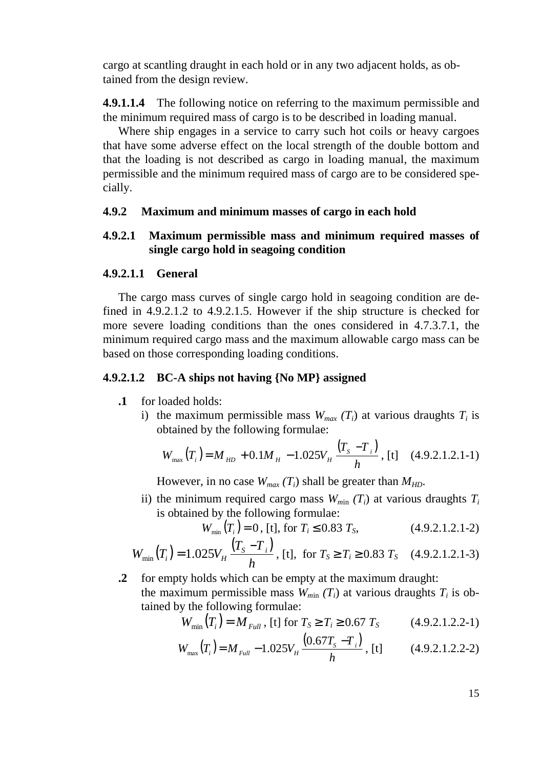cargo at scantling draught in each hold or in any two adjacent holds, as obtained from the design review.

**4.9.1.1.4** The following notice on referring to the maximum permissible and the minimum required mass of cargo is to be described in loading manual.

Where ship engages in a service to carry such hot coils or heavy cargoes that have some adverse effect on the local strength of the double bottom and that the loading is not described as cargo in loading manual, the maximum permissible and the minimum required mass of cargo are to be considered specially.

## **4.9.2 Maximum and minimum masses of cargo in each hold**

# **4.9.2.1 Maximum permissible mass and minimum required masses of single cargo hold in seagoing condition**

### **4.9.2.1.1 General**

The cargo mass curves of single cargo hold in seagoing condition are defined in 4.9.2.1.2 to 4.9.2.1.5. However if the ship structure is checked for more severe loading conditions than the ones considered in 4.7.3.7.1, the minimum required cargo mass and the maximum allowable cargo mass can be based on those corresponding loading conditions.

### **4.9.2.1.2 BC-A ships not having {No MP} assigned**

- **.1** for loaded holds:
	- i) the maximum permissible mass  $W_{max}(T_i)$  at various draughts  $T_i$  is obtained by the following formulae:

$$
W_{\text{max}}(T_i) = M_{HD} + 0.1M_H - 1.025V_H \frac{(T_s - T_i)}{h}, \text{ [t]} \quad (4.9.2.1.2.1-1)
$$

However, in no case  $W_{max}(T_i)$  shall be greater than  $M_{HD}$ .

ii) the minimum required cargo mass  $W_{min}(T_i)$  at various draughts  $T_i$ is obtained by the following formulae:

$$
W_{\min}(T_i) = 0, \text{ [t], for } T_i \le 0.83 \ T_s, \tag{4.9.2.1.2.1-2}
$$

$$
W_{\min}(T_i) = 1.025V_H \frac{(T_s - T_i)}{h}, \text{ [t], for } T_s \ge T_i \ge 0.83 T_s \quad (4.9.2.1.2.1-3)
$$

**.2** for empty holds which can be empty at the maximum draught: the maximum permissible mass  $W_{min}(T_i)$  at various draughts  $T_i$  is obtained by the following formulae:

$$
W_{\min}(T_i) = M_{Full}, \text{ [t] for } T_s \ge T_i \ge 0.67 \ T_s \tag{4.9.2.1.2.2-1}
$$

$$
W_{\text{max}}(T_i) = M_{\text{Full}} - 1.025V_H \frac{(0.67T_s - T_i)}{h}, \text{ [t]} \tag{4.9.2.1.2.2-2}
$$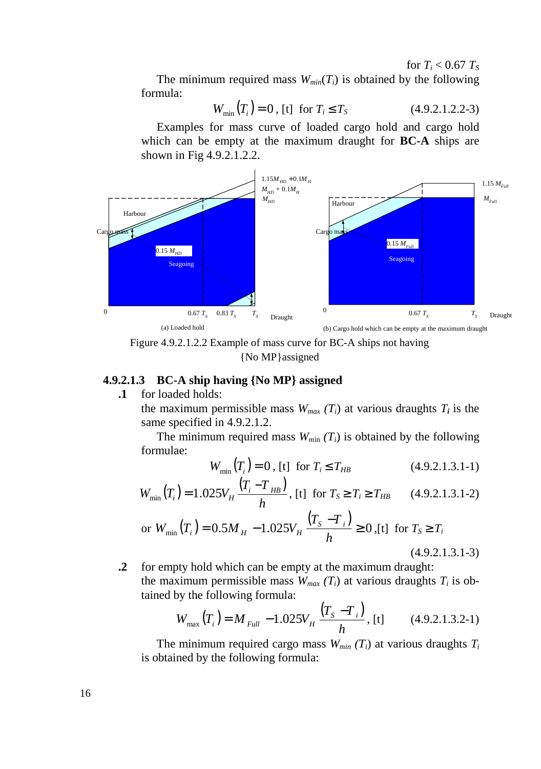for  $T_i < 0.67$   $T_s$ The minimum required mass  $W_{min}(T_i)$  is obtained by the following formula:

$$
W_{\min}(T_i) = 0, \text{ [t] for } T_i \le T_S \tag{4.9.2.1.2.2-3}
$$

Examples for mass curve of loaded cargo hold and cargo hold which can be empty at the maximum draught for **BC-A** ships are shown in Fig 4.9.2.1.2.2.



Figure 4.9.2.1.2.2 Example of mass curve for BC-A ships not having {No MP}assigned

# **4.9.2.1.3 BC-A ship having {No MP} assigned**

**.1** for loaded holds:

the maximum permissible mass  $W_{max}(T_i)$  at various draughts  $T_i$  is the same specified in 4.9.2.1.2.

The minimum required mass  $W_{min}(T_i)$  is obtained by the following formulae:

$$
W_{\min}(T_i) = 0, \text{ [t] for } T_i \le T_{HB} \tag{4.9.2.1.3.1-1}
$$

$$
W_{\min}(T_i) = 1.025 V_H \frac{(T_i - T_{HB})}{h}, \text{ [t] for } T_s \ge T_i \ge T_{HB} \qquad (4.9.2.1.3.1-2)
$$

or 
$$
W_{\min}(T_i) = 0.5M_H - 1.025V_H \frac{(T_s - T_i)}{h} \ge 0
$$
, [t] for  $T_s \ge T_i$   
(4.9.2.1.3.1-3)

**.2** for empty hold which can be empty at the maximum draught: the maximum permissible mass  $W_{max}(T_i)$  at various draughts  $T_i$  is obtained by the following formula:

$$
W_{\text{max}}(T_i) = M_{\text{Full}} - 1.025 V_H \frac{(T_s - T_i)}{h}, \text{ [t]} \qquad (4.9.2.1.3.2-1)
$$

The minimum required cargo mass  $W_{min}(T_i)$  at various draughts  $T_i$ is obtained by the following formula: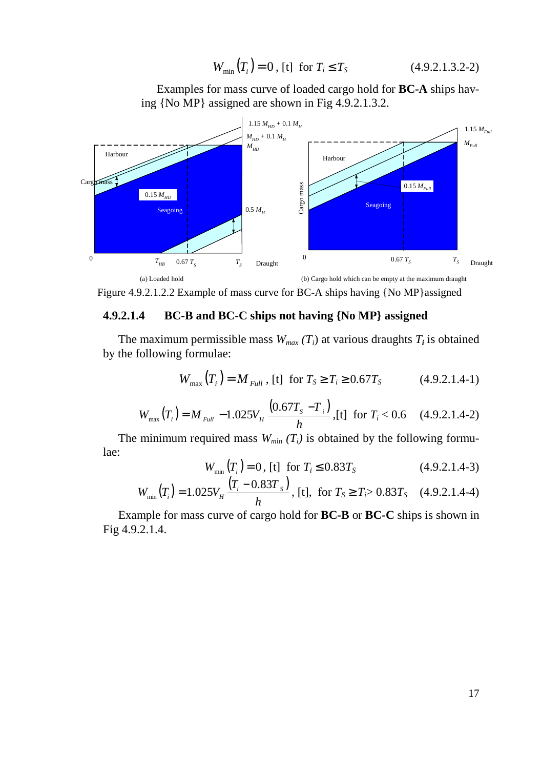$$
W_{\min}(T_i) = 0, \text{ [t] for } T_i \le T_S \tag{4.9.2.1.3.2-2}
$$

Examples for mass curve of loaded cargo hold for **BC-A** ships having {No MP} assigned are shown in Fig 4.9.2.1.3.2.



Figure 4.9.2.1.2.2 Example of mass curve for BC-A ships having {No MP}assigned

#### **4.9.2.1.4 BC-B and BC-C ships not having {No MP} assigned**

The maximum permissible mass  $W_{max}(T_i)$  at various draughts  $T_i$  is obtained by the following formulae:

$$
W_{\text{max}}(T_i) = M_{\text{Full}}
$$
, [t] for  $T_s \ge T_i \ge 0.67T_s$  (4.9.2.1.4-1)

$$
W_{\text{max}}(T_i) = M_{\text{Full}} - 1.025 V_H \frac{(0.67 T_s - T_i)}{h}, \text{[t] for } T_i < 0.6 \quad (4.9.2.1.4-2)
$$

The minimum required mass  $W_{min}(T_i)$  is obtained by the following formulae:

$$
W_{\min}\left(T_i\right) = 0, \text{ [t] for } T_i \le 0.83T_S \tag{4.9.2.1.4-3}
$$

$$
W_{\min}\left(T_i\right) = 1.025V_H \frac{\left(T_i - 0.83T_s\right)}{h}, \text{ [t], for } T_s \ge T_i > 0.83T_s \quad (4.9.2.1.4-4)
$$

Example for mass curve of cargo hold for **BC-B** or **BC-C** ships is shown in Fig 4.9.2.1.4.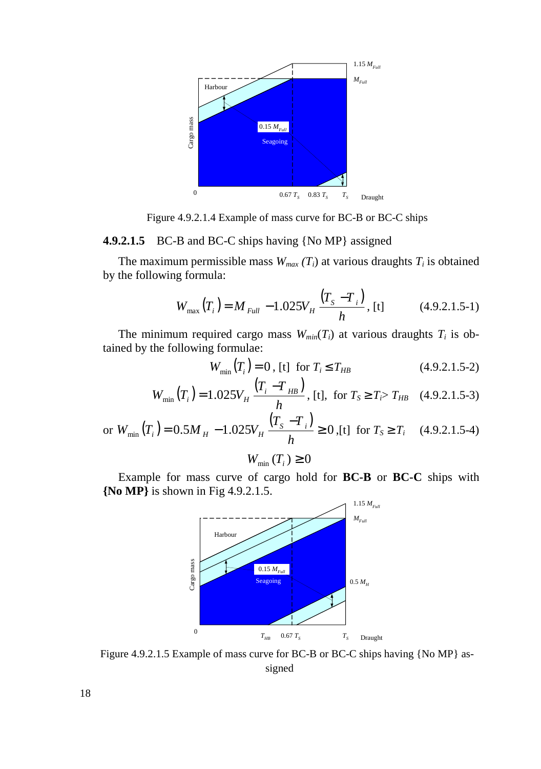

Figure 4.9.2.1.4 Example of mass curve for BC-B or BC-C ships

#### **4.9.2.1.5** BC-B and BC-C ships having {No MP} assigned

The maximum permissible mass  $W_{max}(T_i)$  at various draughts  $T_i$  is obtained by the following formula:

$$
W_{\text{max}}(T_i) = M_{\text{Full}} - 1.025V_H \frac{(T_s - T_i)}{h}, \text{ [t]} \tag{4.9.2.1.5-1}
$$

The minimum required cargo mass  $W_{min}(T_i)$  at various draughts  $T_i$  is obtained by the following formulae:

$$
W_{\min}(T_i) = 0, \text{ [t] for } T_i \le T_{HB} \tag{4.9.2.1.5-2}
$$

$$
W_{\min}\left(T_i\right) = 1.025 V_H \frac{\left(T_i - T_{HB}\right)}{h}, \text{ [t], for } T_s \ge T_i > T_{HB} \quad (4.9.2.1.5-3)
$$

or 
$$
W_{\min}(T_i) = 0.5M_H - 1.025V_H \frac{(T_s - T_i)}{h} \ge 0
$$
, [t] for  $T_s \ge T_i$  (4.9.2.1.5-4)

$$
W_{\min}\left(T_{i}\right)\geq0
$$

Example for mass curve of cargo hold for **BC-B** or **BC-C** ships with **{No MP}** is shown in Fig 4.9.2.1.5.



Figure 4.9.2.1.5 Example of mass curve for BC-B or BC-C ships having {No MP} assigned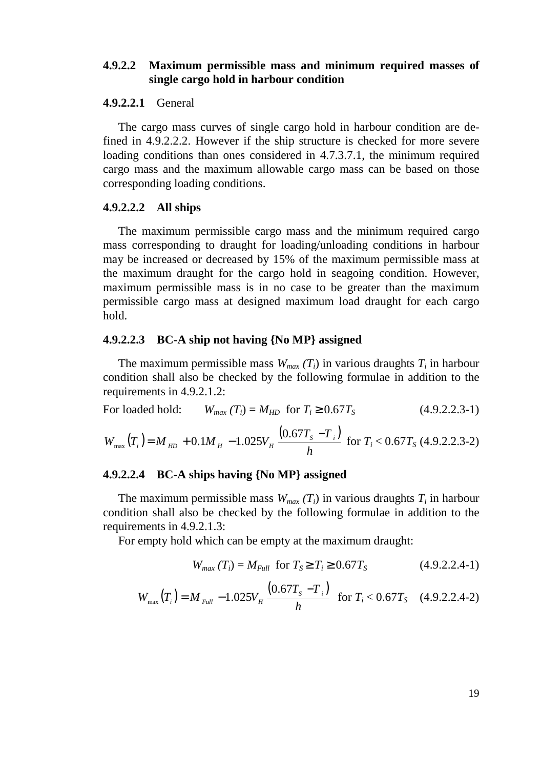### **4.9.2.2 Maximum permissible mass and minimum required masses of single cargo hold in harbour condition**

#### **4.9.2.2.1** General

The cargo mass curves of single cargo hold in harbour condition are defined in 4.9.2.2.2. However if the ship structure is checked for more severe loading conditions than ones considered in 4.7.3.7.1, the minimum required cargo mass and the maximum allowable cargo mass can be based on those corresponding loading conditions.

#### **4.9.2.2.2 All ships**

The maximum permissible cargo mass and the minimum required cargo mass corresponding to draught for loading/unloading conditions in harbour may be increased or decreased by 15% of the maximum permissible mass at the maximum draught for the cargo hold in seagoing condition. However, maximum permissible mass is in no case to be greater than the maximum permissible cargo mass at designed maximum load draught for each cargo hold.

#### **4.9.2.2.3 BC-A ship not having {No MP} assigned**

The maximum permissible mass  $W_{max}(T_i)$  in various draughts  $T_i$  in harbour condition shall also be checked by the following formulae in addition to the requirements in 4.9.2.1.2:

For loaded hold: 
$$
W_{max}(T_i) = M_{HD} \text{ for } T_i \ge 0.67T_S
$$
 (4.9.2.2.3-1)  
 $W_{max}(T_i) = M_{HD} + 0.1M_{H} - 1.025V_{H} \frac{(0.67T_{S} - T_i)}{h} \text{ for } T_i < 0.67T_{S} \text{ (4.9.2.2.3-2)}$ 

#### **4.9.2.2.4 BC-A ships having {No MP} assigned**

The maximum permissible mass  $W_{max}(T_i)$  in various draughts  $T_i$  in harbour condition shall also be checked by the following formulae in addition to the requirements in 4.9.2.1.3:

For empty hold which can be empty at the maximum draught:

$$
W_{max}(T_i) = M_{Full} \text{ for } T_S \ge T_i \ge 0.67T_S \tag{4.9.2.2.4-1}
$$

$$
W_{\text{max}}(T_i) = M_{\text{Full}} - 1.025V_H \frac{(0.67T_s - T_i)}{h} \text{ for } T_i < 0.67T_s \quad (4.9.2.2.4-2)
$$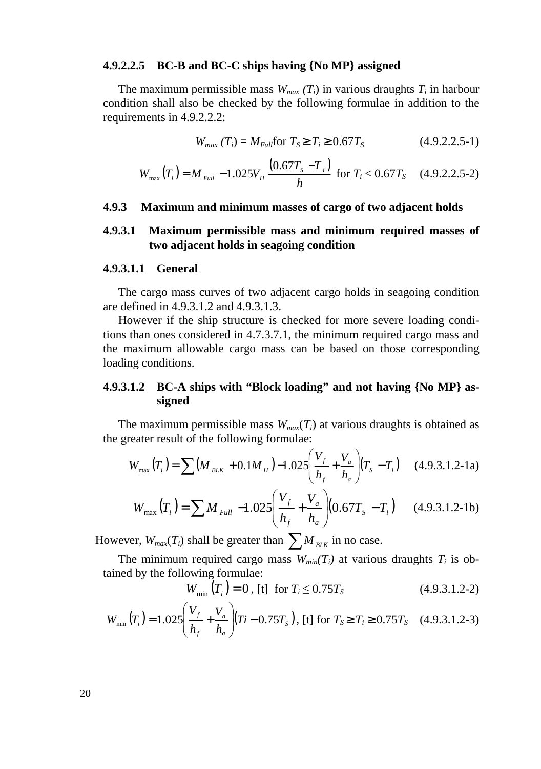#### **4.9.2.2.5 BC-B and BC-C ships having {No MP} assigned**

The maximum permissible mass  $W_{max}(T_i)$  in various draughts  $T_i$  in harbour condition shall also be checked by the following formulae in addition to the requirements in 4.9.2.2.2:

$$
W_{max}(T_i) = M_{Full} \text{for } T_S \ge T_i \ge 0.67T_S \tag{4.9.2.2.5-1}
$$

$$
W_{\text{max}}(T_i) = M_{\text{Full}} - 1.025V_H \frac{(0.67T_s - T_i)}{h} \text{ for } T_i < 0.67T_s \quad (4.9.2.2.5-2)
$$

#### **4.9.3 Maximum and minimum masses of cargo of two adjacent holds**

#### **4.9.3.1 Maximum permissible mass and minimum required masses of two adjacent holds in seagoing condition**

#### **4.9.3.1.1 General**

The cargo mass curves of two adjacent cargo holds in seagoing condition are defined in 4.9.3.1.2 and 4.9.3.1.3.

However if the ship structure is checked for more severe loading conditions than ones considered in 4.7.3.7.1, the minimum required cargo mass and the maximum allowable cargo mass can be based on those corresponding loading conditions.

### **4.9.3.1.2 BC-A ships with "Block loading" and not having {No MP} assigned**

The maximum permissible mass  $W_{max}(T_i)$  at various draughts is obtained as the greater result of the following formulae:

$$
W_{\text{max}}(T_i) = \sum (M_{BLK} + 0.1M_H) - 1.025 \left(\frac{V_f}{h_f} + \frac{V_a}{h_a}\right) (T_S - T_i) \quad (4.9.3.1.2-1a)
$$

$$
W_{\text{max}}(T_i) = \sum M_{\text{Full}} - 1.025 \left( \frac{V_f}{h_f} + \frac{V_a}{h_a} \right) (0.67 T_s - T_i) \qquad (4.9.3.1.2-1b)
$$

However,  $W_{max}(T_i)$  shall be greater than  $\sum M_{BLK}$  in no case.

The minimum required cargo mass  $W_{min}(T_i)$  at various draughts  $T_i$  is obtained by the following formulae:

$$
W_{\min}(T_i) = 0, \text{ [t] for } T_i \le 0.75T_S \tag{4.9.3.1.2-2}
$$

$$
W_{\min}\left(T_i\right) = 1.025 \left(\frac{V_f}{h_f} + \frac{V_a}{h_a}\right) \left(Ti - 0.75T_s\right), \text{ [t] for } T_s \ge T_i \ge 0.75T_s \quad (4.9.3.1.2-3)
$$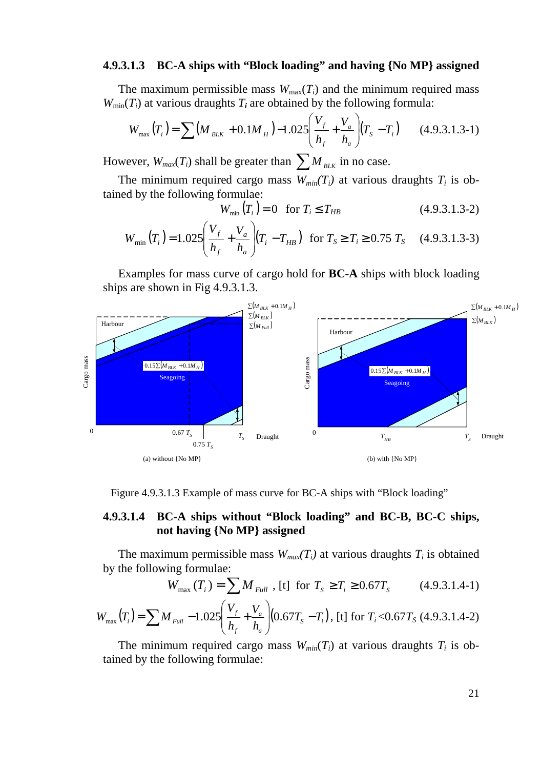### **4.9.3.1.3 BC-A ships with "Block loading" and having {No MP} assigned**

The maximum permissible mass  $W_{\text{max}}(T_i)$  and the minimum required mass  $W_{\text{min}}(T_i)$  at various draughts  $T_i$  are obtained by the following formula:

$$
W_{\text{max}}(T_i) = \sum (M_{BLK} + 0.1M_H) - 1.025 \left(\frac{V_f}{h_f} + \frac{V_a}{h_a}\right) (T_S - T_i)
$$
 (4.9.3.1.3-1)

However,  $W_{max}(T_i)$  shall be greater than  $\sum M_{BLK}$  in no case.

The minimum required cargo mass  $W_{min}(T_i)$  at various draughts  $T_i$  is obtained by the following formulae:

$$
W_{\min}(T_i) = 0 \quad \text{for } T_i \le T_{HB} \tag{4.9.3.1.3-2}
$$

$$
W_{\min}(T_i) = 1.025 \left(\frac{V_f}{h_f} + \frac{V_a}{h_a}\right) (T_i - T_{HB}) \text{ for } T_s \ge T_i \ge 0.75 T_s \quad (4.9.3.1.3-3)
$$

Examples for mass curve of cargo hold for **BC-A** ships with block loading ships are shown in Fig 4.9.3.1.3.



Figure 4.9.3.1.3 Example of mass curve for BC-A ships with "Block loading"

### **4.9.3.1.4 BC-A ships without "Block loading" and BC-B, BC-C ships, not having {No MP} assigned**

The maximum permissible mass  $W_{max}(T_i)$  at various draughts  $T_i$  is obtained by the following formulae:

$$
W_{\text{max}}(T_i) = \sum_{\ell} M_{\text{Full}} \text{ , [t] for } T_s \ge T_i \ge 0.67T_s \qquad (4.9.3.1.4-1)
$$

$$
W_{\text{max}}(T_i) = \sum M_{\text{Full}} - 1.025 \left( \frac{V_f}{h_f} + \frac{V_a}{h_a} \right) (0.67 T_s - T_i), \text{ [t] for } T_i < 0.67 T_s \text{ (4.9.3.1.4-2)}
$$

The minimum required cargo mass  $W_{min}(T_i)$  at various draughts  $T_i$  is obtained by the following formulae: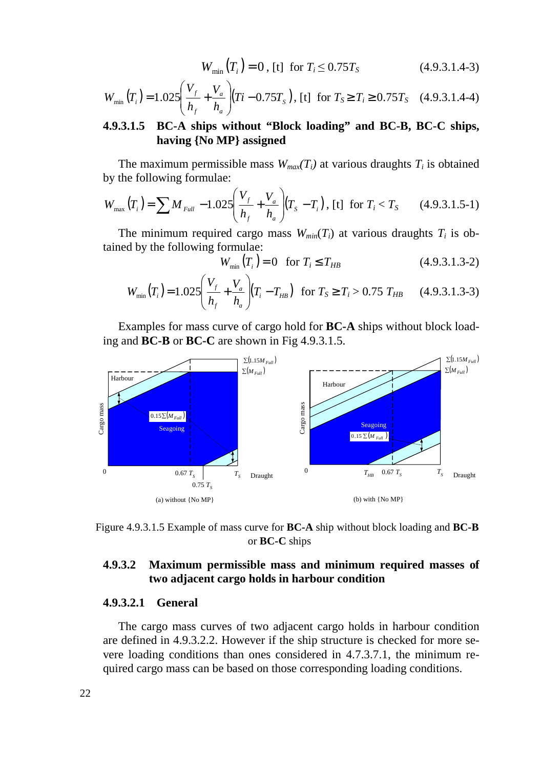$$
W_{\min}(T_i) = 0, \text{ [t] for } T_i \le 0.75T_S \tag{4.9.3.1.4-3}
$$

$$
W_{\min}\left(T_i\right) = 1.025 \left(\frac{V_f}{h_f} + \frac{V_a}{h_a}\right) \left(Ti - 0.75T_s\right), \text{ [t] for } T_s \ge T_i \ge 0.75T_s \quad (4.9.3.1.4-4)
$$

### **4.9.3.1.5 BC-A ships without "Block loading" and BC-B, BC-C ships, having {No MP} assigned**

The maximum permissible mass  $W_{max}(T_i)$  at various draughts  $T_i$  is obtained by the following formulae:

$$
W_{\text{max}}(T_i) = \sum M_{\text{Full}} - 1.025 \left( \frac{V_f}{h_f} + \frac{V_a}{h_a} \right) (T_s - T_i), \text{ [t] for } T_i < T_s \qquad (4.9.3.1.5-1)
$$

The minimum required cargo mass  $W_{min}(T_i)$  at various draughts  $T_i$  is obtained by the following formulae:

$$
W_{\min}(T_i) = 0 \quad \text{for } T_i \le T_{HB} \tag{4.9.3.1.3-2}
$$

$$
W_{\min}(T_i) = 1.025 \left( \frac{V_f}{h_f} + \frac{V_a}{h_a} \right) (T_i - T_{HB}) \text{ for } T_s \ge T_i > 0.75 \ T_{HB} \qquad (4.9.3.1.3-3)
$$

Examples for mass curve of cargo hold for **BC-A** ships without block loading and **BC-B** or **BC-C** are shown in Fig 4.9.3.1.5.





### **4.9.3.2 Maximum permissible mass and minimum required masses of two adjacent cargo holds in harbour condition**

#### **4.9.3.2.1 General**

The cargo mass curves of two adjacent cargo holds in harbour condition are defined in 4.9.3.2.2. However if the ship structure is checked for more severe loading conditions than ones considered in 4.7.3.7.1, the minimum required cargo mass can be based on those corresponding loading conditions.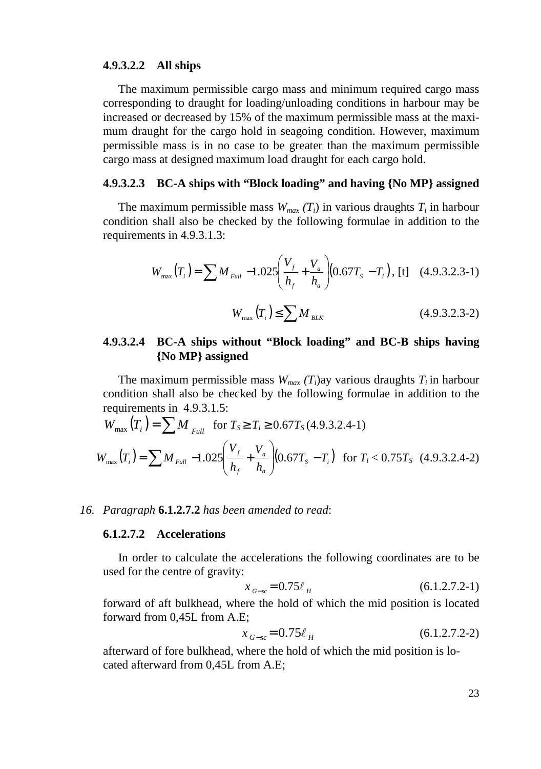#### **4.9.3.2.2 All ships**

The maximum permissible cargo mass and minimum required cargo mass corresponding to draught for loading/unloading conditions in harbour may be increased or decreased by 15% of the maximum permissible mass at the maximum draught for the cargo hold in seagoing condition. However, maximum permissible mass is in no case to be greater than the maximum permissible cargo mass at designed maximum load draught for each cargo hold.

## **4.9.3.2.3 BC-A ships with "Block loading" and having {No MP} assigned**

The maximum permissible mass  $W_{max}(T_i)$  in various draughts  $T_i$  in harbour condition shall also be checked by the following formulae in addition to the requirements in 4.9.3.1.3:

$$
W_{\text{max}}(T_i) = \sum M_{\text{Full}} -1.025 \left( \frac{V_f}{h_f} + \frac{V_a}{h_a} \right) (0.67 T_s - T_i), \text{ [t]} \quad (4.9.3.2.3-1)
$$

$$
W_{\text{max}}(T_i) \le \sum M_{BLK} \tag{4.9.3.2.3-2}
$$

### **4.9.3.2.4 BC-A ships without "Block loading" and BC-B ships having {No MP} assigned**

The maximum permissible mass  $W_{max}$  ( $T_i$ )ay various draughts  $T_i$  in harbour condition shall also be checked by the following formulae in addition to the requirements in 4.9.3.1.5:

$$
W_{\text{max}}(T_i) = \sum M_{\text{Full}} \quad \text{for } T_s \ge T_i \ge 0.67T_S(4.9.3.2.4-1)
$$
\n
$$
W_{\text{max}}(T_i) = \sum M_{\text{Full}} - 1.025 \left( \frac{V_f}{h_f} + \frac{V_a}{h_a} \right) (0.67T_s - T_i) \quad \text{for } T_i < 0.75T_S \quad (4.9.3.2.4-2)
$$

#### *16. Paragraph* **6.1.2.7.2** *has been amended to read*:

#### **6.1.2.7.2 Accelerations**

In order to calculate the accelerations the following coordinates are to be used for the centre of gravity:

$$
x_{G-x} = 0.75\ell_H \tag{6.1.2.7.2-1}
$$

forward of aft bulkhead, where the hold of which the mid position is located forward from 0,45L from A.E;

$$
x_{G-sc} = 0.75\ell_H \tag{6.1.2.7.2-2}
$$

afterward of fore bulkhead, where the hold of which the mid position is located afterward from 0,45L from A.E;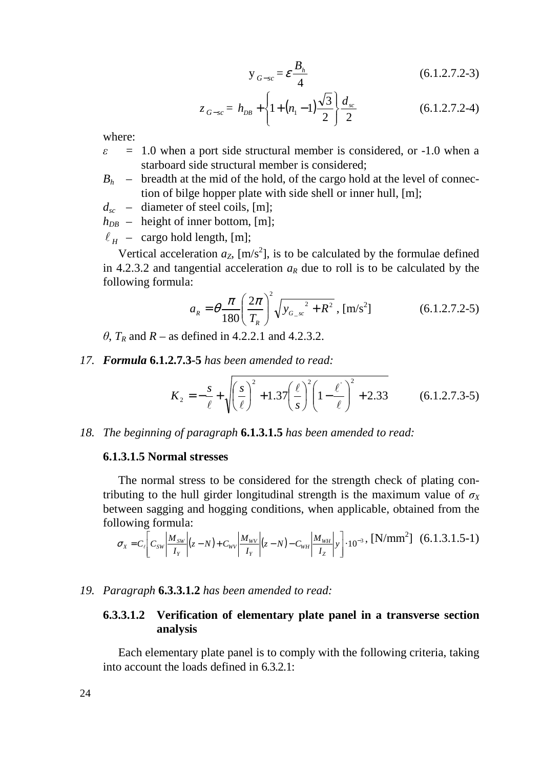$$
y_{G-sc} = \varepsilon \frac{B_h}{4}
$$
 (6.1.2.7.2-3)

$$
z_{G-sc} = h_{DB} + \left\{1 + (n_1 - 1)\frac{\sqrt{3}}{2}\right\} \frac{d_{sc}}{2}
$$
 (6.1.2.7.2-4)

where:

- $\epsilon$  = 1.0 when a port side structural member is considered, or -1.0 when a starboard side structural member is considered;
- $B_h$  breadth at the mid of the hold, of the cargo hold at the level of connection of bilge hopper plate with side shell or inner hull, [m];
- $d_{sc}$  diameter of steel coils, [m];
- $h_{DB}$  height of inner bottom, [m];

 $\ell_H$  – cargo hold length, [m];

Vertical acceleration  $a_Z$ ,  $[m/s^2]$ , is to be calculated by the formulae defined in 4.2.3.2 and tangential acceleration  $a<sub>R</sub>$  due to roll is to be calculated by the following formula:

$$
a_R = \theta \frac{\pi}{180} \left(\frac{2\pi}{T_R}\right)^2 \sqrt{y_{G_{-sc}}^2 + R^2}, \,\mathrm{[m/s^2]}
$$
 (6.1.2.7.2-5)

 $\theta$ ,  $T_R$  and  $R$  – as defined in 4.2.2.1 and 4.2.3.2.

*17. Formula* **6.1.2.7.3-5** *has been amended to read:* 

$$
K_2 = -\frac{s}{\ell} + \sqrt{\left(\frac{s}{\ell}\right)^2 + 1.37 \left(\frac{\ell}{s}\right)^2 \left(1 - \frac{\ell}{\ell}\right)^2 + 2.33}
$$
 (6.1.2.7.3-5)

*18. The beginning of paragraph* **6.1.3.1.5** *has been amended to read:* 

#### **6.1.3.1.5 Normal stresses**

The normal stress to be considered for the strength check of plating contributing to the hull girder longitudinal strength is the maximum value of  $\sigma_X$ between sagging and hogging conditions, when applicable, obtained from the following formula:

$$
\sigma_x = C_t \left[ C_{sw} \left| \frac{M_{sw}}{I_Y} \right| (z - N) + C_{wv} \left| \frac{M_{wv}}{I_Y} \right| (z - N) - C_{wH} \left| \frac{M_{wH}}{I_Z} \right| y \right] \cdot 10^{-3}, \text{ [N/mm}^2 \text{]} \quad (6.1.3.1.5-1)
$$

#### *19. Paragraph* **6.3.3.1.2** *has been amended to read:*

### **6.3.3.1.2 Verification of elementary plate panel in a transverse section analysis**

Each elementary plate panel is to comply with the following criteria, taking into account the loads defined in 6.3.2.1: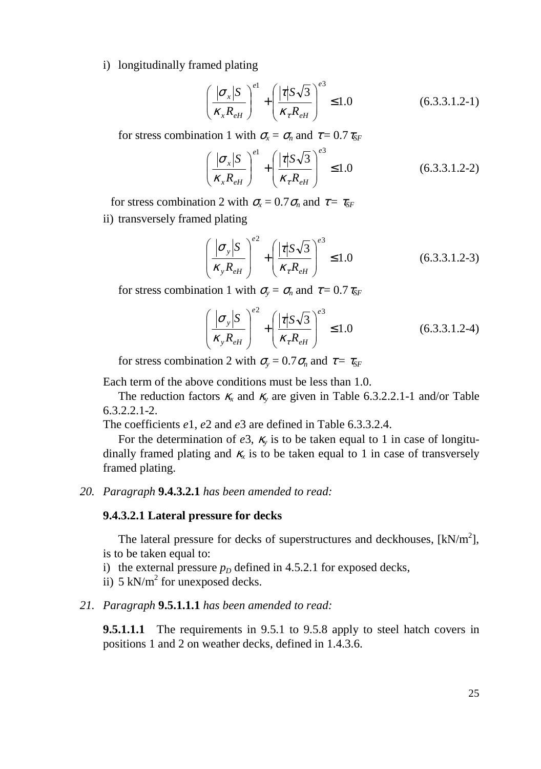i) longitudinally framed plating

$$
\left(\frac{|\sigma_x|S}{\kappa_x R_{\rm eff}}\right)^{e_1} + \left(\frac{|\tau|S\sqrt{3}}{\kappa_\tau R_{\rm eff}}\right)^{e_3} \le 1.0\tag{6.3.3.1.2-1}
$$

for stress combination 1 with  $\sigma_{\rm x} = \sigma_{\rm n}$  and  $\tau = 0.7 \tau_{\rm SF}$ 

$$
\left(\frac{|\sigma_x|S}{\kappa_x R_{eH}}\right)^{e1} + \left(\frac{|\tau|S\sqrt{3}}{\kappa_\tau R_{eH}}\right)^{e3} \le 1.0\tag{6.3.3.1.2-2}
$$

for stress combination 2 with  $\sigma_x = 0.7 \sigma_n$  and  $\tau = \tau_{SF}$ 

ii) transversely framed plating

$$
\left(\frac{|\sigma_y|S}{\kappa_y R_{\rm eH}}\right)^{e^2} + \left(\frac{|\tau|S\sqrt{3}}{\kappa_\tau R_{\rm eH}}\right)^{e^3} \le 1.0\tag{6.3.3.1.2-3}
$$

for stress combination 1 with  $\sigma_y = \sigma_n$  and  $\tau = 0.7 \tau_{SF}$ 

$$
\left(\frac{|\sigma_{y}|S}{\kappa_{y}R_{\text{eH}}}\right)^{e^{2}} + \left(\frac{|\tau|S\sqrt{3}}{\kappa_{\tau}R_{\text{eH}}}\right)^{e^{3}} \le 1.0
$$
\n(6.3.3.1.2-4)

for stress combination 2 with  $\sigma_y = 0.7 \sigma_n$  and  $\tau = \tau_{SF}$ 

Each term of the above conditions must be less than 1.0.

The reduction factors  $\kappa_x$  and  $\kappa_y$  are given in Table 6.3.2.2.1-1 and/or Table 6.3.2.2.1-2.

The coefficients *e*1, *e*2 and *e*3 are defined in Table 6.3.3.2.4.

For the determination of  $e^3$ ,  $\kappa$ <sub>y</sub> is to be taken equal to 1 in case of longitudinally framed plating and  $K_x$  is to be taken equal to 1 in case of transversely framed plating.

#### *20. Paragraph* **9.4.3.2.1** *has been amended to read:*

#### **9.4.3.2.1 Lateral pressure for decks**

The lateral pressure for decks of superstructures and deckhouses,  $[kN/m^2]$ , is to be taken equal to:

- i) the external pressure  $p<sub>D</sub>$  defined in 4.5.2.1 for exposed decks,
- ii)  $5 \text{ kN/m}^2$  for unexposed decks.

#### *21. Paragraph* **9.5.1.1.1** *has been amended to read:*

**9.5.1.1.1** The requirements in 9.5.1 to 9.5.8 apply to steel hatch covers in positions 1 and 2 on weather decks, defined in 1.4.3.6.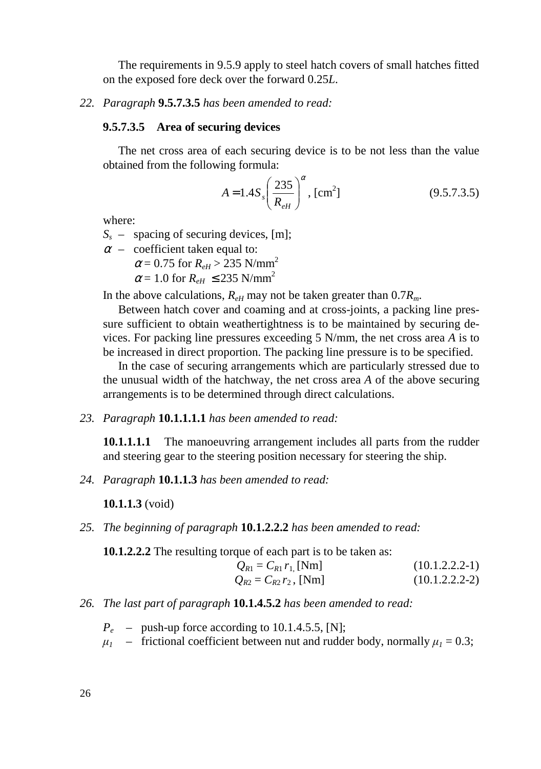The requirements in 9.5.9 apply to steel hatch covers of small hatches fitted on the exposed fore deck over the forward 0.25*L*.

#### *22. Paragraph* **9.5.7.3.5** *has been amended to read:*

#### **9.5.7.3.5 Area of securing devices**

The net cross area of each securing device is to be not less than the value obtained from the following formula:

$$
A = 1.4S_s \left(\frac{235}{R_{\text{eH}}}\right)^{\alpha}, \text{ [cm}^2\text{]}
$$
 (9.5.7.3.5)

where:

*Ss* – spacing of securing devices, [m];

 $\alpha$  – coefficient taken equal to:  $\alpha$  = 0.75 for  $R_{eH}$  > 235 N/mm<sup>2</sup>

 $\alpha$  = 1.0 for  $R_{eH} \le 235$  N/mm<sup>2</sup>

In the above calculations,  $R_{eH}$  may not be taken greater than  $0.7R_m$ .

Between hatch cover and coaming and at cross-joints, a packing line pressure sufficient to obtain weathertightness is to be maintained by securing devices. For packing line pressures exceeding 5 N/mm, the net cross area *A* is to be increased in direct proportion. The packing line pressure is to be specified.

In the case of securing arrangements which are particularly stressed due to the unusual width of the hatchway, the net cross area *A* of the above securing arrangements is to be determined through direct calculations.

*23. Paragraph* **10.1.1.1.1** *has been amended to read:* 

**10.1.1.1.1** The manoeuvring arrangement includes all parts from the rudder and steering gear to the steering position necessary for steering the ship.

*24. Paragraph* **10.1.1.3** *has been amended to read:* 

**10.1.1.3** (void)

*25. The beginning of paragraph* **10.1.2.2.2** *has been amended to read:* 

**10.1.2.2.2** The resulting torque of each part is to be taken as:

$$
Q_{R1} = C_{R1} r_{1,}
$$
 [Nm]  
\n
$$
Q_{R2} = C_{R2} r_{2,}
$$
 [Nm]  
\n(10.1.2.2.2-1)  
\n(10.1.2.2.2-2)

#### *26. The last part of paragraph* **10.1.4.5.2** *has been amended to read:*

- $P_e$  push-up force according to 10.1.4.5.5, [N];
- $\mu_1$  frictional coefficient between nut and rudder body, normally  $\mu_1 = 0.3$ ;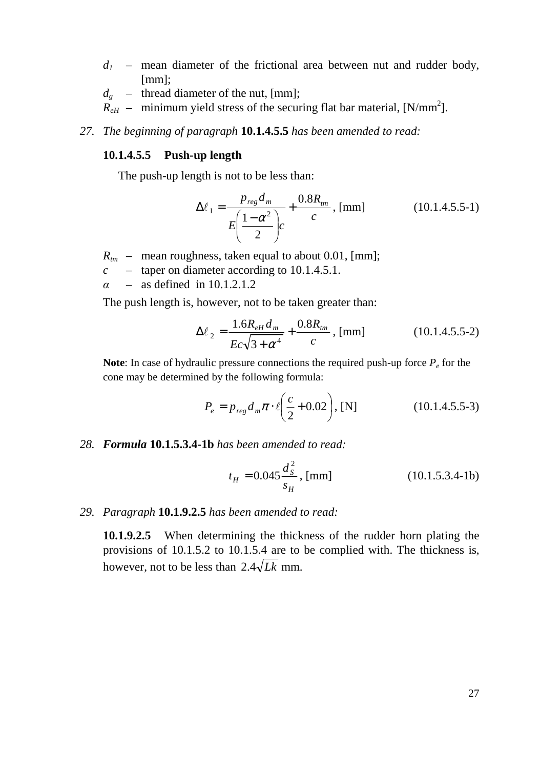- $d<sub>l</sub>$  mean diameter of the frictional area between nut and rudder body, [mm]:
- $d_g$  thread diameter of the nut, [mm];
- $R_{\text{eff}}$  minimum yield stress of the securing flat bar material, [N/mm<sup>2</sup>].
- *27. The beginning of paragraph* **10.1.4.5.5** *has been amended to read:*

#### **10.1.4.5.5 Push-up length**

The push-up length is not to be less than:

$$
\Delta \ell_1 = \frac{p_{reg} d_m}{E \left( \frac{1 - \alpha^2}{2} \right) c} + \frac{0.8 R_{im}}{c}, \text{ [mm]}
$$
 (10.1.4.5.5-1)

- $R_{tm}$  mean roughness, taken equal to about 0.01, [mm];
- *c –* taper on diameter according to 10.1.4.5.1.
- $\alpha$  as defined in 10.1.2.1.2

The push length is, however, not to be taken greater than:

$$
\Delta \ell_2 = \frac{1.6R_{eH}d_m}{Ec\sqrt{3 + \alpha^4}} + \frac{0.8R_{tm}}{c}, \text{[mm]}
$$
 (10.1.4.5.5-2)

**Note**: In case of hydraulic pressure connections the required push-up force *P<sup>e</sup>* for the cone may be determined by the following formula:

$$
P_e = p_{reg} d_m \pi \cdot \ell \left(\frac{c}{2} + 0.02\right), \text{ [N]} \tag{10.1.4.5.5-3}
$$

*28. Formula* **10.1.5.3.4-1b** *has been amended to read:* 

$$
t_H = 0.045 \frac{d_s^2}{s_H}, \text{[mm]}
$$
 (10.1.5.3.4-1b)

#### *29. Paragraph* **10.1.9.2.5** *has been amended to read:*

**10.1.9.2.5** When determining the thickness of the rudder horn plating the provisions of 10.1.5.2 to 10.1.5.4 are to be complied with. The thickness is, however, not to be less than  $2.4\sqrt{Lk}$  mm.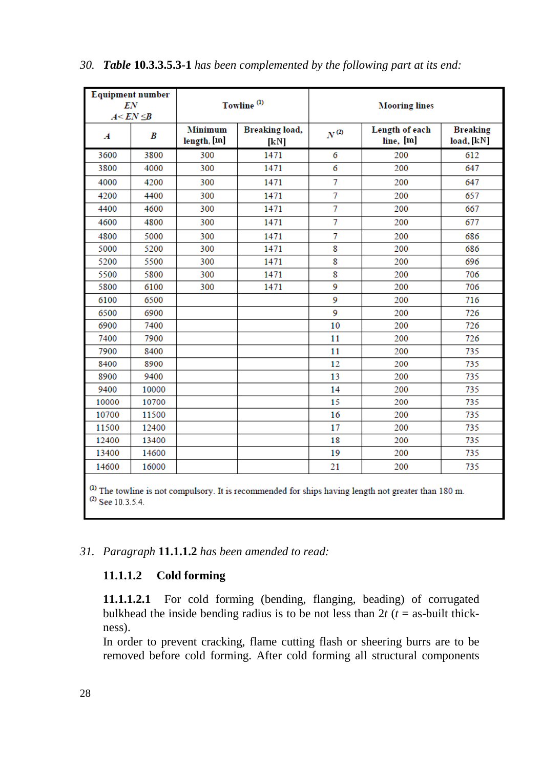| <b>Equipment number</b><br>EN<br>$A < E N \leq B$ |       |                               | Towline <sup>(1)</sup> | <b>Mooring lines</b> |                             |                               |  |  |
|---------------------------------------------------|-------|-------------------------------|------------------------|----------------------|-----------------------------|-------------------------------|--|--|
| $\boldsymbol{A}$                                  | B     | <b>Minimum</b><br>length, [m] | Breaking load,<br>[kN] | $N^{(2)}$            | Length of each<br>line, [m] | <b>Breaking</b><br>load, [kN] |  |  |
| 3600                                              | 3800  | 300                           | 1471                   | 6                    | 200                         | 612                           |  |  |
| 3800                                              | 4000  | 300                           | 1471                   | 6                    | 200                         | 647                           |  |  |
| 4000                                              | 4200  | 300                           | 1471                   | 7                    | 200                         | 647                           |  |  |
| 4200                                              | 4400  | 300                           | 1471                   | 7                    | 200                         | 657                           |  |  |
| 4400                                              | 4600  | 300                           | 1471                   | $\overline{7}$       | 200                         | 667                           |  |  |
| 4600                                              | 4800  | 300                           | 1471                   | 7                    | 200                         | 677                           |  |  |
| 4800                                              | 5000  | 300                           | 1471                   | $\overline{7}$       | 200                         | 686                           |  |  |
| 5000                                              | 5200  | 300                           | 1471                   | 8                    | 200                         | 686                           |  |  |
| 5200                                              | 5500  | 300                           | 1471                   | 8                    | 200                         | 696                           |  |  |
| 5500                                              | 5800  | 300                           | 1471                   | 8                    | 200                         | 706                           |  |  |
| 5800                                              | 6100  | 300                           | 1471                   | 9                    | 200                         | 706                           |  |  |
| 6100                                              | 6500  |                               |                        | 9                    | 200                         | 716                           |  |  |
| 6500                                              | 6900  |                               |                        | 9                    | 200                         | 726                           |  |  |
| 6900                                              | 7400  |                               |                        | 10                   | 200                         | 726                           |  |  |
| 7400                                              | 7900  |                               |                        | 11                   | 200                         | 726                           |  |  |
| 7900                                              | 8400  |                               |                        | 11                   | 200                         | 735                           |  |  |
| 8400                                              | 8900  |                               |                        | 12                   | 200                         | 735                           |  |  |
| 8900                                              | 9400  |                               |                        | 13                   | 200                         | 735                           |  |  |
| 9400                                              | 10000 |                               |                        | 14                   | 200                         | 735                           |  |  |
| 10000                                             | 10700 |                               |                        | 15                   | 200                         | 735                           |  |  |
| 10700                                             | 11500 |                               |                        | 16                   | 200                         | 735                           |  |  |
| 11500                                             | 12400 |                               |                        | 17                   | 200                         | 735                           |  |  |
| 12400                                             | 13400 |                               |                        | 18                   | 200                         | 735                           |  |  |
| 13400                                             | 14600 |                               |                        | 19                   | 200                         | 735                           |  |  |
| 14600                                             | 16000 |                               |                        | 21                   | 200                         | 735                           |  |  |

#### *30. Table* **10.3.3.5.3-1** *has been complemented by the following part at its end:*

 $^{(1)}$  The towline is not compulsory. It is recommended for ships having length not greater than 180 m.  $^{(2)}$  See 10.3.5.4.

# *31. Paragraph* **11.1.1.2** *has been amended to read:*

# **11.1.1.2 Cold forming**

**11.1.1.2.1** For cold forming (bending, flanging, beading) of corrugated bulkhead the inside bending radius is to be not less than  $2t$  ( $t =$  as-built thickness).

In order to prevent cracking, flame cutting flash or sheering burrs are to be removed before cold forming. After cold forming all structural components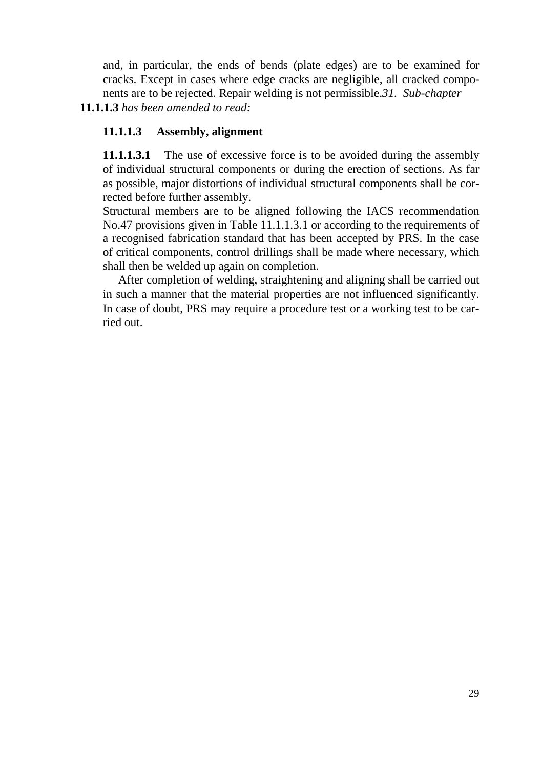and, in particular, the ends of bends (plate edges) are to be examined for cracks. Except in cases where edge cracks are negligible, all cracked components are to be rejected. Repair welding is not permissible.*31. Sub-chapter* 

# **11.1.1.3** *has been amended to read:*

# **11.1.1.3 Assembly, alignment**

**11.1.1.3.1** The use of excessive force is to be avoided during the assembly of individual structural components or during the erection of sections. As far as possible, major distortions of individual structural components shall be corrected before further assembly.

Structural members are to be aligned following the IACS recommendation No.47 provisions given in Table 11.1.1.3.1 or according to the requirements of a recognised fabrication standard that has been accepted by PRS. In the case of critical components, control drillings shall be made where necessary, which shall then be welded up again on completion.

After completion of welding, straightening and aligning shall be carried out in such a manner that the material properties are not influenced significantly. In case of doubt, PRS may require a procedure test or a working test to be carried out.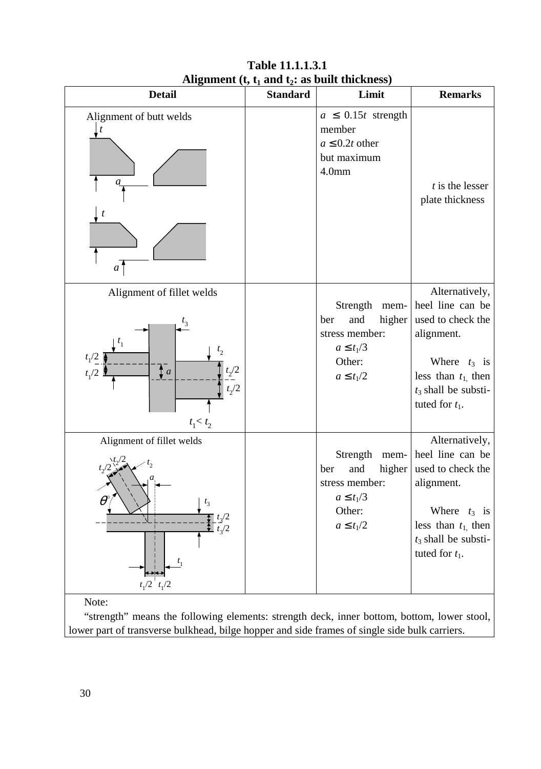| <b>Detail</b>                                                                            | <b>Standard</b> | Limit                                                                                                    | <b>Remarks</b>                                                                                                                                                   |
|------------------------------------------------------------------------------------------|-----------------|----------------------------------------------------------------------------------------------------------|------------------------------------------------------------------------------------------------------------------------------------------------------------------|
| Alignment of butt welds<br>t<br>t<br>a                                                   |                 | $a \leq 0.15t$ strength<br>member<br>$a \leq 0.2t$ other<br>but maximum<br>4.0 <sub>mm</sub>             | $t$ is the lesser<br>plate thickness                                                                                                                             |
| Alignment of fillet welds<br>$t_{1}$<br>$t_1/2$<br>$\sum a$<br>$t_1/2$<br>$t_1 < t_2$    |                 | Strength<br>mem-<br>and<br>higher<br>ber<br>stress member:<br>$a \leq t_1/3$<br>Other:<br>$a \leq t_1/2$ | Alternatively,<br>heel line can be<br>used to check the<br>alignment.<br>Where $t_3$ is<br>less than $t_1$ , then<br>$t_3$ shall be substi-<br>tuted for $t_1$ . |
| Alignment of fillet welds<br>$\theta^{\circ}$<br>$t_3/2$<br>$t_1/2 \quad t_1/2$<br>Note: |                 | Strength mem-<br>and<br>higher<br>ber<br>stress member:<br>$a \leq t_1/3$<br>Other:<br>$a \leq t_1/2$    | Alternatively,<br>heel line can be<br>used to check the<br>alignment.<br>Where $t_3$ is<br>less than $t_1$ , then<br>$t_3$ shall be substi-<br>tuted for $t_1$ . |

# **Table 11.1.1.3.1 Alignment (t, t1 and t2: as built thickness)**

"strength" means the following elements: strength deck, inner bottom, bottom, lower stool, lower part of transverse bulkhead, bilge hopper and side frames of single side bulk carriers.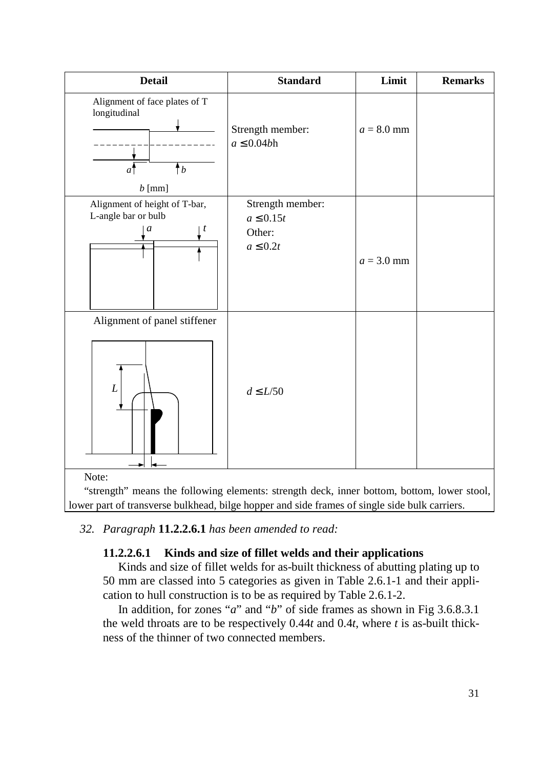| <b>Detail</b>                                                                               | <b>Standard</b>                                               | Limit        | <b>Remarks</b> |
|---------------------------------------------------------------------------------------------|---------------------------------------------------------------|--------------|----------------|
| Alignment of face plates of T<br>longitudinal<br>$\pmb{\uparrow}$<br>$\mathfrak{a}^{\cdot}$ | Strength member:<br>$a \leq 0.04b$ h                          | $a = 8.0$ mm |                |
| $b$ [mm]<br>Alignment of height of T-bar,<br>L-angle bar or bulb<br>$\boldsymbol{a}$<br>t   | Strength member:<br>$a \leq 0.15t$<br>Other:<br>$a \leq 0.2t$ | $a = 3.0$ mm |                |
| Alignment of panel stiffener<br>$\cal L$<br>Note:                                           | $d\leq L/50$                                                  |              |                |

"strength" means the following elements: strength deck, inner bottom, bottom, lower stool, lower part of transverse bulkhead, bilge hopper and side frames of single side bulk carriers.

# *32. Paragraph* **11.2.2.6.1** *has been amended to read:*

# **11.2.2.6.1 Kinds and size of fillet welds and their applications**

Kinds and size of fillet welds for as-built thickness of abutting plating up to 50 mm are classed into 5 categories as given in Table 2.6.1-1 and their application to hull construction is to be as required by Table 2.6.1-2.

In addition, for zones "*a*" and "*b*" of side frames as shown in Fig 3.6.8.3.1 the weld throats are to be respectively 0.44*t* and 0.4*t*, where *t* is as-built thickness of the thinner of two connected members.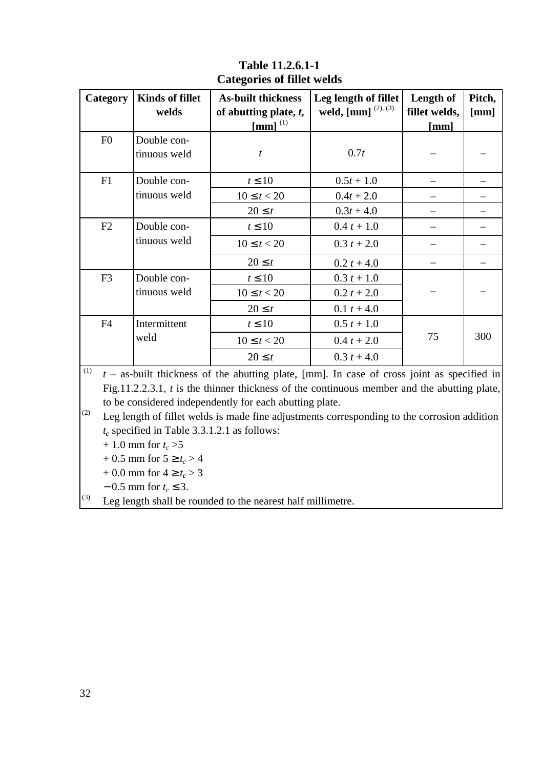| Category       | <b>Kinds of fillet</b><br>welds | <b>As-built thickness</b><br>of abutting plate, $t$ ,<br>$\left[\text{mm}\right]^{(1)}$ | Leg length of fillet<br>weld, $\left[ \text{mm} \right]^{(2), (3)}$ | Length of<br>fillet welds,<br>[mm] | Pitch,<br>[mm] |
|----------------|---------------------------------|-----------------------------------------------------------------------------------------|---------------------------------------------------------------------|------------------------------------|----------------|
| F <sub>0</sub> | Double con-<br>tinuous weld     | $\mathfrak{t}$                                                                          | 0.7t                                                                |                                    |                |
| F1             | Double con-                     | $t \leq 10$                                                                             | $0.5t + 1.0$                                                        |                                    |                |
|                | tinuous weld                    | $10 \le t < 20$                                                                         | $0.4t + 2.0$                                                        |                                    |                |
|                |                                 | $20 \leq t$                                                                             | $0.3t + 4.0$                                                        |                                    |                |
| F2             | Double con-                     | $t \leq 10$                                                                             | $0.4 t + 1.0$                                                       |                                    |                |
|                | tinuous weld                    | $10 \le t < 20$                                                                         | $0.3 t + 2.0$                                                       |                                    |                |
|                |                                 | $20 \leq t$                                                                             | $0.2 t + 4.0$                                                       |                                    |                |
| F <sub>3</sub> | Double con-                     | $t \leq 10$                                                                             | $0.3 t + 1.0$                                                       |                                    |                |
|                | tinuous weld                    | $10 \le t < 20$                                                                         | $0.2 t + 2.0$                                                       |                                    |                |
|                |                                 | $20 \leq t$                                                                             | $0.1 t + 4.0$                                                       |                                    |                |
| F <sub>4</sub> | Intermittent                    | $t \leq 10$                                                                             | $0.5 t + 1.0$                                                       |                                    |                |
|                | weld                            | $10 \le t < 20$                                                                         | $0.4 t + 2.0$                                                       | 75                                 | 300            |
|                |                                 | $20 \leq t$                                                                             | $0.3 t + 4.0$                                                       |                                    |                |

# **Table 11.2.6.1-1 Categories of fillet welds**

 $(t)$   $t -$  as-built thickness of the abutting plate, [mm]. In case of cross joint as specified in Fig.11.2.2.3.1, *t* is the thinner thickness of the continuous member and the abutting plate, to be considered independently for each abutting plate.

 $\begin{bmatrix} 2 \end{bmatrix}$  Leg length of fillet welds is made fine adjustments corresponding to the corrosion addition *t<sup>c</sup>* specified in Table 3.3.1.2.1 as follows:

 $+ 1.0$  mm for  $t_c > 5$ 

 $+ 0.5$  mm for  $5 \ge t_c > 4$ 

+ 0.0 mm for  $4 \ge t_c > 3$ 

− 0.5 mm for *t<sup>c</sup>* ≤ 3.

 $(3)$  Leg length shall be rounded to the nearest half millimetre.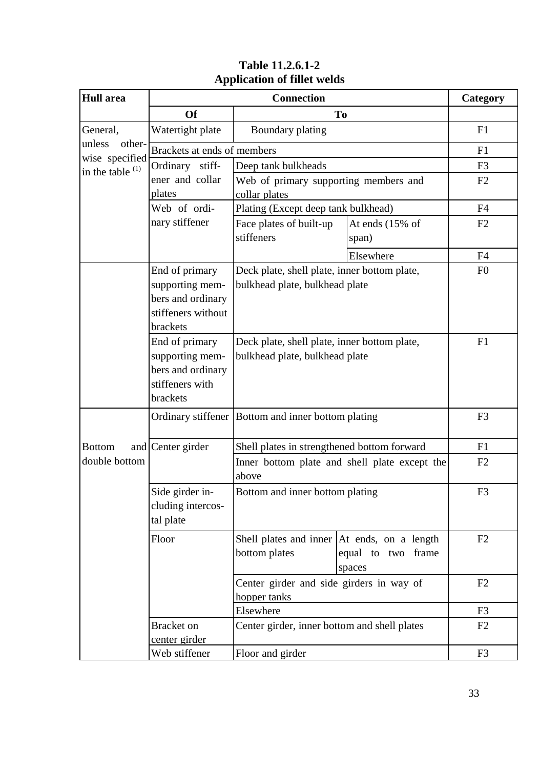| <b>Hull</b> area                   |                                                                                          | Category                                                                       |                                                                                |                |
|------------------------------------|------------------------------------------------------------------------------------------|--------------------------------------------------------------------------------|--------------------------------------------------------------------------------|----------------|
|                                    | <b>Of</b>                                                                                |                                                                                | To                                                                             |                |
| General,                           | Watertight plate                                                                         | Boundary plating                                                               |                                                                                | F1             |
| unless<br>other-<br>wise specified | Brackets at ends of members                                                              |                                                                                |                                                                                | F1             |
| in the table $(1)$                 | Ordinary stiff-                                                                          | Deep tank bulkheads                                                            |                                                                                | F <sub>3</sub> |
|                                    | ener and collar                                                                          | Web of primary supporting members and                                          |                                                                                | F2             |
|                                    | plates                                                                                   | collar plates                                                                  |                                                                                |                |
|                                    | Web of ordi-                                                                             | Plating (Except deep tank bulkhead)                                            |                                                                                | F4             |
|                                    | nary stiffener                                                                           | Face plates of built-up                                                        | At ends (15% of                                                                | F2             |
|                                    |                                                                                          | stiffeners                                                                     | span)                                                                          |                |
|                                    |                                                                                          |                                                                                | Elsewhere                                                                      | F4             |
|                                    | End of primary<br>supporting mem-<br>bers and ordinary<br>stiffeners without<br>brackets | Deck plate, shell plate, inner bottom plate,<br>bulkhead plate, bulkhead plate |                                                                                | F <sub>0</sub> |
|                                    | End of primary<br>supporting mem-<br>bers and ordinary<br>stiffeners with<br>brackets    | Deck plate, shell plate, inner bottom plate,<br>bulkhead plate, bulkhead plate | F1                                                                             |                |
|                                    |                                                                                          | Ordinary stiffener Bottom and inner bottom plating                             |                                                                                | F <sub>3</sub> |
| <b>Bottom</b>                      | and Center girder                                                                        | Shell plates in strengthened bottom forward                                    | F1                                                                             |                |
| double bottom                      |                                                                                          | Inner bottom plate and shell plate except the<br>above                         | F2                                                                             |                |
|                                    | Side girder in-<br>cluding intercos-<br>tal plate                                        | Bottom and inner bottom plating                                                | F <sub>3</sub>                                                                 |                |
|                                    | Floor                                                                                    | bottom plates                                                                  | Shell plates and inner At ends, on a length<br>equal to two<br>frame<br>spaces | F2             |
|                                    |                                                                                          | Center girder and side girders in way of<br>hopper tanks                       | F2                                                                             |                |
|                                    |                                                                                          | Elsewhere                                                                      | F3                                                                             |                |
|                                    | Bracket on<br>center girder                                                              | Center girder, inner bottom and shell plates                                   | F <sub>2</sub>                                                                 |                |
|                                    | Web stiffener                                                                            | Floor and girder                                                               | F <sub>3</sub>                                                                 |                |

# **Table 11.2.6.1-2 Application of fillet welds**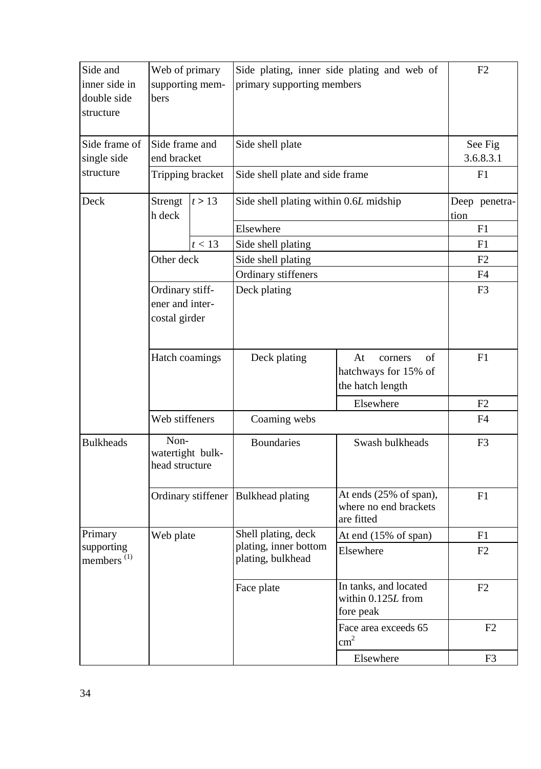| Side and<br>Web of primary                |                                                     |                    | Side plating, inner side plating and web of                                              |                                                                 | F2                   |                |
|-------------------------------------------|-----------------------------------------------------|--------------------|------------------------------------------------------------------------------------------|-----------------------------------------------------------------|----------------------|----------------|
| inner side in<br>double side<br>structure | supporting mem-<br>bers                             |                    | primary supporting members                                                               |                                                                 |                      |                |
| Side frame of<br>single side              | Side frame and<br>end bracket                       |                    | Side shell plate                                                                         |                                                                 | See Fig<br>3.6.8.3.1 |                |
| structure                                 |                                                     | Tripping bracket   | Side shell plate and side frame                                                          |                                                                 |                      | F1             |
| Deck                                      | Strengt<br>h deck                                   | t > 13             | Side shell plating within 0.6L midship                                                   |                                                                 | tion                 | Deep penetra-  |
|                                           |                                                     |                    | Elsewhere                                                                                |                                                                 |                      | F1             |
|                                           |                                                     | t < 13             | Side shell plating                                                                       |                                                                 |                      | F1             |
|                                           | Other deck                                          |                    | Side shell plating                                                                       |                                                                 |                      | F2             |
|                                           |                                                     |                    | Ordinary stiffeners                                                                      |                                                                 |                      | F4             |
|                                           | Ordinary stiff-<br>ener and inter-<br>costal girder |                    | Deck plating                                                                             |                                                                 | F3                   |                |
|                                           | Hatch coamings                                      |                    | Deck plating                                                                             | At<br>of<br>corners<br>hatchways for 15% of<br>the hatch length |                      | F1             |
|                                           |                                                     |                    |                                                                                          | Elsewhere                                                       |                      | F2             |
|                                           | Web stiffeners                                      |                    | Coaming webs                                                                             |                                                                 |                      | F4             |
| <b>Bulkheads</b>                          | Non-<br>watertight bulk-<br>head structure          |                    | <b>Boundaries</b>                                                                        | Swash bulkheads                                                 |                      | F <sub>3</sub> |
|                                           |                                                     | Ordinary stiffener | At ends (25% of span),<br><b>Bulkhead plating</b><br>where no end brackets<br>are fitted |                                                                 |                      | F1             |
| Primary                                   | Web plate                                           |                    | Shell plating, deck                                                                      | At end $(15\% \text{ of span})$                                 |                      | F1             |
| supporting<br>members <sup>(1)</sup>      |                                                     |                    | plating, inner bottom<br>plating, bulkhead                                               | Elsewhere                                                       |                      | F2             |
|                                           |                                                     |                    | Face plate                                                                               | In tanks, and located<br>within 0.125L from<br>fore peak        |                      | F2             |
|                                           |                                                     |                    |                                                                                          | Face area exceeds 65<br>$\text{cm}^2$                           |                      | F2             |
|                                           |                                                     |                    |                                                                                          | Elsewhere                                                       |                      | F <sub>3</sub> |